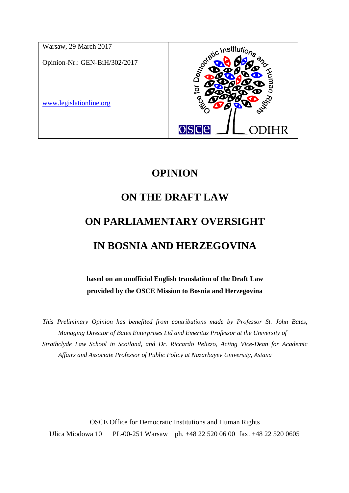

## **OPINION**

# **ON THE DRAFT LAW**

# **ON PARLIAMENTARY OVERSIGHT IN BOSNIA AND HERZEGOVINA**

**based on an unofficial English translation of the Draft Law provided by the OSCE Mission to Bosnia and Herzegovina**

*This Preliminary Opinion has benefited from contributions made by Professor St. John Bates, Managing Director of Bates Enterprises Ltd and Emeritus Professor at the University of Strathclyde Law School in Scotland, and Dr. Riccardo Pelizzo, Acting Vice-Dean for Academic Affairs and Associate Professor of Public Policy at Nazarbayev University, Astana*

OSCE Office for Democratic Institutions and Human Rights Ulica Miodowa 10 PL-00-251 Warsaw ph. +48 22 520 06 00 fax. +48 22 520 0605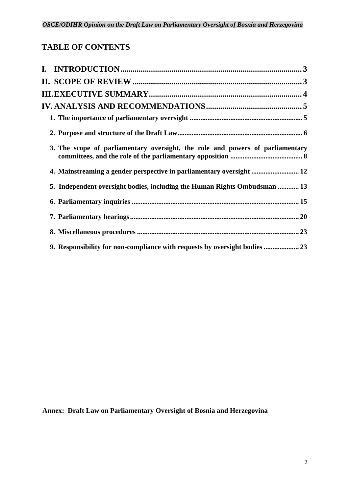### **TABLE OF CONTENTS**

| 3. The scope of parliamentary oversight, the role and powers of parliamentary |
|-------------------------------------------------------------------------------|
| 4. Mainstreaming a gender perspective in parliamentary oversight  12          |
| 5. Independent oversight bodies, including the Human Rights Ombudsman  13     |
|                                                                               |
|                                                                               |
|                                                                               |
| 9. Responsibility for non-compliance with requests by oversight bodies  23    |

**Annex: Draft Law on Parliamentary Oversight of Bosnia and Herzegovina**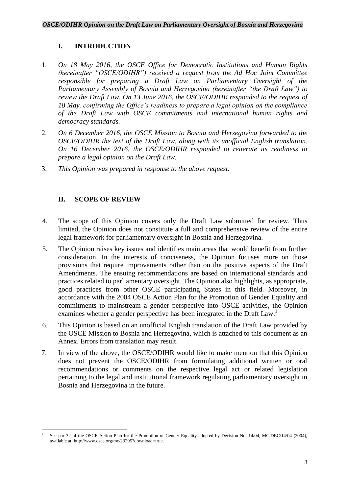### <span id="page-2-0"></span>**I. INTRODUCTION**

- 1. *On 18 May 2016, the OSCE Office for Democratic Institutions and Human Rights (hereinafter "OSCE/ODIHR") received a request from the Ad Hoc Joint Committee responsible for preparing a Draft Law on Parliamentary Oversight of the Parliamentary Assembly of Bosnia and Herzegovina (hereinafter "the Draft Law") to review the Draft Law. On 13 June 2016, the OSCE/ODIHR responded to the request of 18 May, confirming the Office's readiness to prepare a legal opinion on the compliance of the Draft Law with OSCE commitments and international human rights and democracy standards.*
- 2. *On 6 December 2016, the OSCE Mission to Bosnia and Herzegovina forwarded to the OSCE/ODIHR the text of the Draft Law, along with its unofficial English translation. On 16 December 2016, the OSCE/ODIHR responded to reiterate its readiness to prepare a legal opinion on the Draft Law.*
- 3. *This Opinion was prepared in response to the above request.*

### <span id="page-2-1"></span>**II. SCOPE OF REVIEW**

- 4. The scope of this Opinion covers only the Draft Law submitted for review. Thus limited, the Opinion does not constitute a full and comprehensive review of the entire legal framework for parliamentary oversight in Bosnia and Herzegovina.
- 5. The Opinion raises key issues and identifies main areas that would benefit from further consideration. In the interests of conciseness, the Opinion focuses more on those provisions that require improvements rather than on the positive aspects of the Draft Amendments. The ensuing recommendations are based on international standards and practices related to parliamentary oversight. The Opinion also highlights, as appropriate, good practices from other OSCE participating States in this field. Moreover, in accordance with the 2004 OSCE Action Plan for the Promotion of Gender Equality and commitments to mainstream a gender perspective into OSCE activities, the Opinion examines whether a gender perspective has been integrated in the Draft Law.<sup>1</sup>
- 6. This Opinion is based on an unofficial English translation of the Draft Law provided by the OSCE Mission to Bosnia and Herzegovina, which is attached to this document as an Annex. Errors from translation may result.
- 7. In view of the above, the OSCE/ODIHR would like to make mention that this Opinion does not prevent the OSCE/ODIHR from formulating additional written or oral recommendations or comments on the respective legal act or related legislation pertaining to the legal and institutional framework regulating parliamentary oversight in Bosnia and Herzegovina in the future.

 $\overline{\phantom{a}}$ 1 See par 32 of the OSCE Action Plan for the Promotion of Gender Equality adopted by Decision No. 14/04, MC.DEC/14/04 (2004), available at: http://www.osce.org/mc/23295?download=true.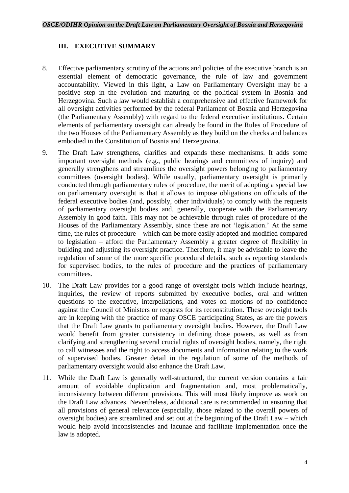### <span id="page-3-0"></span>**III. EXECUTIVE SUMMARY**

- 8. Effective parliamentary scrutiny of the actions and policies of the executive branch is an essential element of democratic governance, the rule of law and government accountability. Viewed in this light, a Law on Parliamentary Oversight may be a positive step in the evolution and maturing of the political system in Bosnia and Herzegovina. Such a law would establish a comprehensive and effective framework for all oversight activities performed by the federal Parliament of Bosnia and Herzegovina (the Parliamentary Assembly) with regard to the federal executive institutions. Certain elements of parliamentary oversight can already be found in the Rules of Procedure of the two Houses of the Parliamentary Assembly as they build on the checks and balances embodied in the Constitution of Bosnia and Herzegovina.
- 9. The Draft Law strengthens, clarifies and expands these mechanisms. It adds some important oversight methods (e.g., public hearings and committees of inquiry) and generally strengthens and streamlines the oversight powers belonging to parliamentary committees (oversight bodies). While usually, parliamentary oversight is primarily conducted through parliamentary rules of procedure, the merit of adopting a special law on parliamentary oversight is that it allows to impose obligations on officials of the federal executive bodies (and, possibly, other individuals) to comply with the requests of parliamentary oversight bodies and, generally, cooperate with the Parliamentary Assembly in good faith. This may not be achievable through rules of procedure of the Houses of the Parliamentary Assembly, since these are not 'legislation.' At the same time, the rules of procedure – which can be more easily adopted and modified compared to legislation – afford the Parliamentary Assembly a greater degree of flexibility in building and adjusting its oversight practice. Therefore, it may be advisable to leave the regulation of some of the more specific procedural details, such as reporting standards for supervised bodies, to the rules of procedure and the practices of parliamentary committees.
- 10. The Draft Law provides for a good range of oversight tools which include hearings, inquiries, the review of reports submitted by executive bodies, oral and written questions to the executive, interpellations, and votes on motions of no confidence against the Council of Ministers or requests for its reconstitution. These oversight tools are in keeping with the practice of many OSCE participating States, as are the powers that the Draft Law grants to parliamentary oversight bodies. However, the Draft Law would benefit from greater consistency in defining those powers, as well as from clarifying and strengthening several crucial rights of oversight bodies, namely, the right to call witnesses and the right to access documents and information relating to the work of supervised bodies. Greater detail in the regulation of some of the methods of parliamentary oversight would also enhance the Draft Law.
- 11. While the Draft Law is generally well-structured, the current version contains a fair amount of avoidable duplication and fragmentation and, most problematically, inconsistency between different provisions. This will most likely improve as work on the Draft Law advances. Nevertheless, additional care is recommended in ensuring that all provisions of general relevance (especially, those related to the overall powers of oversight bodies) are streamlined and set out at the beginning of the Draft Law – which would help avoid inconsistencies and lacunae and facilitate implementation once the law is adopted.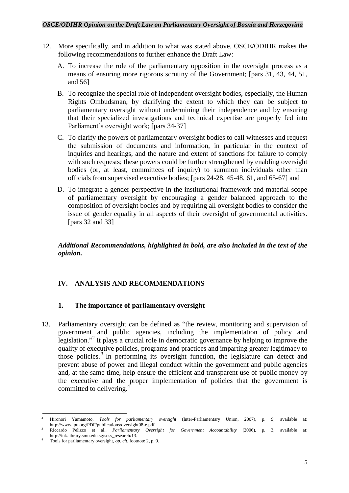### *OSCE/ODIHR Opinion on the Draft Law on Parliamentary Oversight of Bosnia and Herzegovina*

- 12. More specifically, and in addition to what was stated above, OSCE/ODIHR makes the following recommendations to further enhance the Draft Law:
	- A. To increase the role of the parliamentary opposition in the oversight process as a means of ensuring more rigorous scrutiny of the Government; [pars 31, 43, 44, 51, and 56]
	- B. To recognize the special role of independent oversight bodies, especially, the Human Rights Ombudsman, by clarifying the extent to which they can be subject to parliamentary oversight without undermining their independence and by ensuring that their specialized investigations and technical expertise are properly fed into Parliament's oversight work; [pars 34-37]
	- C. To clarify the powers of parliamentary oversight bodies to call witnesses and request the submission of documents and information, in particular in the context of inquiries and hearings, and the nature and extent of sanctions for failure to comply with such requests; these powers could be further strengthened by enabling oversight bodies (or, at least, committees of inquiry) to summon individuals other than officials from supervised executive bodies; [pars 24-28, 45-48, 61, and 65-67] and
	- D. To integrate a gender perspective in the institutional framework and material scope of parliamentary oversight by encouraging a gender balanced approach to the composition of oversight bodies and by requiring all oversight bodies to consider the issue of gender equality in all aspects of their oversight of governmental activities. [pars 32 and 33]

*Additional Recommendations, highlighted in bold, are also included in the text of the opinion.*

### <span id="page-4-0"></span>**IV. ANALYSIS AND RECOMMENDATIONS**

### <span id="page-4-1"></span>**1. The importance of parliamentary oversight**

13. Parliamentary oversight can be defined as "the review, monitoring and supervision of government and public agencies, including the implementation of policy and legislation."<sup>2</sup> It plays a crucial role in democratic governance by helping to improve the quality of executive policies, programs and practices and imparting greater legitimacy to those policies. <sup>3</sup> In performing its oversight function, the legislature can detect and prevent abuse of power and illegal conduct within the government and public agencies and, at the same time, help ensure the efficient and transparent use of public money by the executive and the proper implementation of policies that the government is committed to delivering. 4

**<sup>.</sup>** <sup>2</sup> Hironori Yamamoto, *Tools for parliamentary oversight* (Inter-Parliamentary Union, 2007), p. 9, available at: http://www.ipu.org/PDF/publications/oversight08-e.pdf.

<sup>3</sup> Riccardo Pelizzo et al., *Parliamentary Oversight for Government Accountability* (2006), p. 3, available at: http://ink.library.smu.edu.sg/soss\_research/13.

<sup>4</sup> Tools for parliamentary oversight, *op. cit.* footnote 2, p. 9.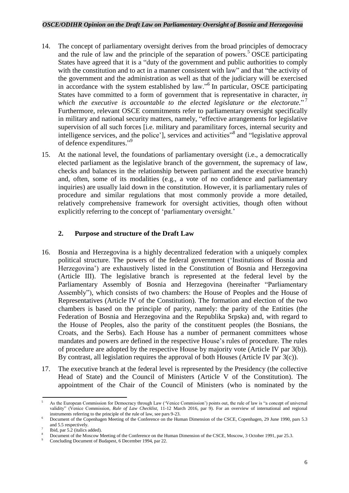- 14. The concept of parliamentary oversight derives from the broad principles of democracy and the rule of law and the principle of the separation of powers.<sup>5</sup> OSCE participating States have agreed that it is a "duty of the government and public authorities to comply with the constitution and to act in a manner consistent with law" and that "the activity of the government and the administration as well as that of the judiciary will be exercised in accordance with the system established by law."<sup>6</sup> In particular, OSCE participating States have committed to a form of government that is representative in character, *in which the executive is accountable to the elected legislature or the electorate.*" 7 Furthermore, relevant OSCE commitments refer to parliamentary oversight specifically in military and national security matters, namely, "effective arrangements for legislative supervision of all such forces [i.e. military and paramilitary forces, internal security and intelligence services, and the police'], services and activities"<sup>8</sup> and "legislative approval of defence expenditures."<sup>9</sup>
- 15. At the national level, the foundations of parliamentary oversight (i.e., a democratically elected parliament as the legislative branch of the government, the supremacy of law, checks and balances in the relationship between parliament and the executive branch) and, often, some of its modalities (e.g., a vote of no confidence and parliamentary inquiries) are usually laid down in the constitution. However, it is parliamentary rules of procedure and similar regulations that most commonly provide a more detailed, relatively comprehensive framework for oversight activities, though often without explicitly referring to the concept of 'parliamentary oversight.'

### <span id="page-5-0"></span>**2. Purpose and structure of the Draft Law**

- 16. Bosnia and Herzegovina is a highly decentralized federation with a uniquely complex political structure. The powers of the federal government ('Institutions of Bosnia and Herzegovina') are exhaustively listed in the Constitution of Bosnia and Herzegovina (Article III). The legislative branch is represented at the federal level by the Parliamentary Assembly of Bosnia and Herzegovina (hereinafter "Parliamentary Assembly"), which consists of two chambers: the House of Peoples and the House of Representatives (Article IV of the Constitution). The formation and election of the two chambers is based on the principle of parity, namely: the parity of the Entities (the Federation of Bosnia and Herzegovina and the Republika Srpska) and, with regard to the House of Peoples, also the parity of the constituent peoples (the Bosnians, the Croats, and the Serbs). Each House has a number of permanent committees whose mandates and powers are defined in the respective House's rules of procedure. The rules of procedure are adopted by the respective House by majority vote (Article IV par 3(b)). By contrast, all legislation requires the approval of both Houses (Article IV par 3(c)).
- 17. The executive branch at the federal level is represented by the Presidency (the collective Head of State) and the Council of Ministers (Article V of the Constitution). The appointment of the Chair of the Council of Ministers (who is nominated by the

<sup>1</sup> As the European Commission for Democracy through Law ('Venice Commission') points out, the rule of law is "a concept of universal validity" (Venice Commission, *Rule of Law Checklist*, 11-12 March 2016, par 9). For an overview of international and regional instruments referring to the principle of the rule of law, see pars 9-23.

<sup>6</sup> Document of the Copenhagen Meeting of the Conference on the Human Dimension of the CSCE, Copenhagen, 29 June 1990, pars 5.3 and 5.5 respectively.

<sup>7</sup> Ibid, par 5.2 (italics added).

<sup>8</sup> Document of the Moscow Meeting of the Conference on the Human Dimension of the CSCE, Moscow, 3 October 1991, par 25.3.

Concluding Document of Budapest, 6 December 1994, par 22.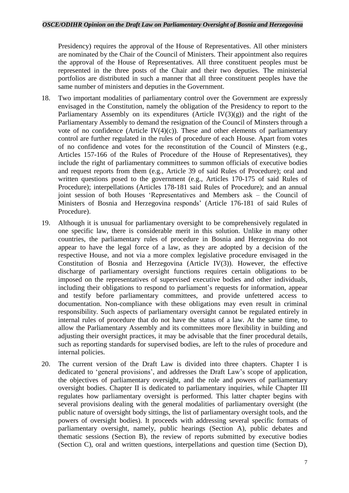Presidency) requires the approval of the House of Representatives. All other ministers are nominated by the Chair of the Council of Ministers. Their appointment also requires the approval of the House of Representatives. All three constituent peoples must be represented in the three posts of the Chair and their two deputies. The ministerial portfolios are distributed in such a manner that all three constituent peoples have the same number of ministers and deputies in the Government.

- 18. Two important modalities of parliamentary control over the Government are expressly envisaged in the Constitution, namely the obligation of the Presidency to report to the Parliamentary Assembly on its expenditures (Article IV $(3)(g)$ ) and the right of the Parliamentary Assembly to demand the resignation of the Council of Minsters through a vote of no confidence (Article IV $(4)(c)$ ). These and other elements of parliamentary control are further regulated in the rules of procedure of each House. Apart from votes of no confidence and votes for the reconstitution of the Council of Minsters (e.g., Articles 157-166 of the Rules of Procedure of the House of Representatives), they include the right of parliamentary committees to summon officials of executive bodies and request reports from them (e.g., Article 39 of said Rules of Procedure); oral and written questions posed to the government (e.g., Articles 170-175 of said Rules of Procedure); interpellations (Articles 178-181 said Rules of Procedure); and an annual joint session of both Houses 'Representatives and Members ask – the Council of Ministers of Bosnia and Herzegovina responds' (Article 176-181 of said Rules of Procedure).
- 19. Although it is unusual for parliamentary oversight to be comprehensively regulated in one specific law, there is considerable merit in this solution. Unlike in many other countries, the parliamentary rules of procedure in Bosnia and Herzegovina do not appear to have the legal force of a law, as they are adopted by a decision of the respective House, and not via a more complex legislative procedure envisaged in the Constitution of Bosnia and Herzegovina (Article IV(3)). However, the effective discharge of parliamentary oversight functions requires certain obligations to be imposed on the representatives of supervised executive bodies and other individuals, including their obligations to respond to parliament's requests for information, appear and testify before parliamentary committees, and provide unfettered access to documentation. Non-compliance with these obligations may even result in criminal responsibility. Such aspects of parliamentary oversight cannot be regulated entirely in internal rules of procedure that do not have the status of a law. At the same time, to allow the Parliamentary Assembly and its committees more flexibility in building and adjusting their oversight practices, it may be advisable that the finer procedural details, such as reporting standards for supervised bodies, are left to the rules of procedure and internal policies.
- 20. The current version of the Draft Law is divided into three chapters. Chapter I is dedicated to 'general provisions', and addresses the Draft Law's scope of application, the objectives of parliamentary oversight, and the role and powers of parliamentary oversight bodies. Chapter II is dedicated to parliamentary inquiries, while Chapter III regulates how parliamentary oversight is performed. This latter chapter begins with several provisions dealing with the general modalities of parliamentary oversight (the public nature of oversight body sittings, the list of parliamentary oversight tools, and the powers of oversight bodies). It proceeds with addressing several specific formats of parliamentary oversight, namely, public hearings (Section A), public debates and thematic sessions (Section B), the review of reports submitted by executive bodies (Section C), oral and written questions, interpellations and question time (Section D),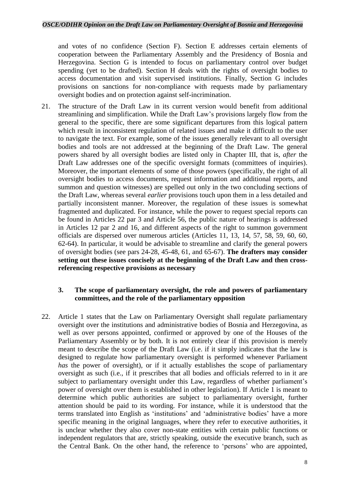and votes of no confidence (Section F). Section E addresses certain elements of cooperation between the Parliamentary Assembly and the Presidency of Bosnia and Herzegovina. Section G is intended to focus on parliamentary control over budget spending (yet to be drafted). Section H deals with the rights of oversight bodies to access documentation and visit supervised institutions. Finally, Section G includes provisions on sanctions for non-compliance with requests made by parliamentary oversight bodies and on protection against self-incrimination.

21. The structure of the Draft Law in its current version would benefit from additional streamlining and simplification. While the Draft Law's provisions largely flow from the general to the specific, there are some significant departures from this logical pattern which result in inconsistent regulation of related issues and make it difficult to the user to navigate the text. For example, some of the issues generally relevant to all oversight bodies and tools are not addressed at the beginning of the Draft Law. The general powers shared by all oversight bodies are listed only in Chapter III, that is, *after* the Draft Law addresses one of the specific oversight formats (committees of inquiries). Moreover, the important elements of some of those powers (specifically, the right of all oversight bodies to access documents, request information and additional reports, and summon and question witnesses) are spelled out only in the two concluding sections of the Draft Law, whereas several *earlier* provisions touch upon them in a less detailed and partially inconsistent manner. Moreover, the regulation of these issues is somewhat fragmented and duplicated. For instance, while the power to request special reports can be found in Articles 22 par 3 and Article 56, the public nature of hearings is addressed in Articles 12 par 2 and 16, and different aspects of the right to summon government officials are dispersed over numerous articles (Articles 11, 13, 14, 57, 58, 59, 60, 60, 62-64). In particular, it would be advisable to streamline and clarify the general powers of oversight bodies (see pars 24-28, 45-48, 61, and 65-67). **The drafters may consider setting out these issues concisely at the beginning of the Draft Law and then crossreferencing respective provisions as necessary**

### <span id="page-7-0"></span>**3. The scope of parliamentary oversight, the role and powers of parliamentary committees, and the role of the parliamentary opposition**

22. Article 1 states that the Law on Parliamentary Oversight shall regulate parliamentary oversight over the institutions and administrative bodies of Bosnia and Herzegovina, as well as over persons appointed, confirmed or approved by one of the Houses of the Parliamentary Assembly or by both. It is not entirely clear if this provision is merely meant to describe the scope of the Draft Law (i.e. if it simply indicates that the law is designed to regulate how parliamentary oversight is performed whenever Parliament *has* the power of oversight), or if it actually establishes the scope of parliamentary oversight as such (i.e., if it prescribes that all bodies and officials referred to in it are subject to parliamentary oversight under this Law, regardless of whether parliament's power of oversight over them is established in other legislation). If Article 1 is meant to determine which public authorities are subject to parliamentary oversight, further attention should be paid to its wording. For instance, while it is understood that the terms translated into English as 'institutions' and 'administrative bodies' have a more specific meaning in the original languages, where they refer to executive authorities, it is unclear whether they also cover non-state entities with certain public functions or independent regulators that are, strictly speaking, outside the executive branch, such as the Central Bank. On the other hand, the reference to 'persons' who are appointed,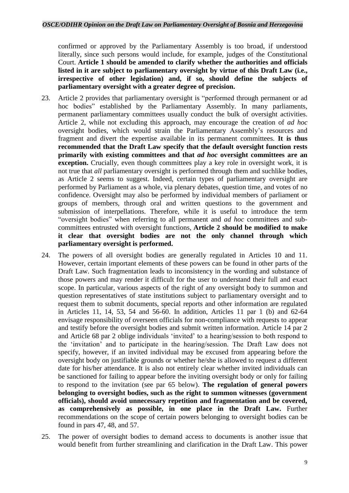confirmed or approved by the Parliamentary Assembly is too broad, if understood literally, since such persons would include, for example, judges of the Constitutional Court. **Article 1 should be amended to clarify whether the authorities and officials listed in it are subject to parliamentary oversight by virtue of this Draft Law (i.e., irrespective of other legislation) and, if so, should define the subjects of parliamentary oversight with a greater degree of precision.**

- 23. Article 2 provides that parliamentary oversight is "performed through permanent or ad hoc bodies" established by the Parliamentary Assembly. In many parliaments, permanent parliamentary committees usually conduct the bulk of oversight activities. Article 2, while not excluding this approach, may encourage the creation of *ad hoc* oversight bodies, which would strain the Parliamentary Assembly's resources and fragment and divert the expertise available in its permanent committees. **It is thus recommended that the Draft Law specify that the default oversight function rests primarily with existing committees and that** *ad hoc* **oversight committees are an exception.** Crucially, even though committees play a key role in oversight work, it is not true that *all* parliamentary oversight is performed through them and suchlike bodies, as Article 2 seems to suggest. Indeed, certain types of parliamentary oversight are performed by Parliament as a whole, via plenary debates, question time, and votes of no confidence. Oversight may also be performed by individual members of parliament or groups of members, through oral and written questions to the government and submission of interpellations. Therefore, while it is useful to introduce the term "oversight bodies" when referring to all permanent and *ad hoc* committees and subcommittees entrusted with oversight functions, **Article 2 should be modified to make it clear that oversight bodies are not the only channel through which parliamentary oversight is performed.**
- 24. The powers of all oversight bodies are generally regulated in Articles 10 and 11. However, certain important elements of these powers can be found in other parts of the Draft Law. Such fragmentation leads to inconsistency in the wording and substance of those powers and may render it difficult for the user to understand their full and exact scope. In particular, various aspects of the right of any oversight body to summon and question representatives of state institutions subject to parliamentary oversight and to request them to submit documents, special reports and other information are regulated in Articles 11, 14, 53, 54 and 56-60. In addition, Articles 11 par 1 (b) and 62-64 envisage responsibility of overseen officials for non-compliance with requests to appear and testify before the oversight bodies and submit written information. Article 14 par 2 and Article 68 par 2 oblige individuals 'invited' to a hearing/session to both respond to the 'invitation' and to participate in the hearing/session. The Draft Law does not specify, however, if an invited individual may be excused from appearing before the oversight body on justifiable grounds or whether he/she is allowed to request a different date for his/her attendance. It is also not entirely clear whether invited individuals can be sanctioned for failing to appear before the inviting oversight body or only for failing to respond to the invitation (see par 65 below). **The regulation of general powers belonging to oversight bodies, such as the right to summon witnesses (government officials), should avoid unnecessary repetition and fragmentation and be covered, as comprehensively as possible, in one place in the Draft Law.** Further recommendations on the scope of certain powers belonging to oversight bodies can be found in pars 47, 48, and 57.
- 25. The power of oversight bodies to demand access to documents is another issue that would benefit from further streamlining and clarification in the Draft Law. This power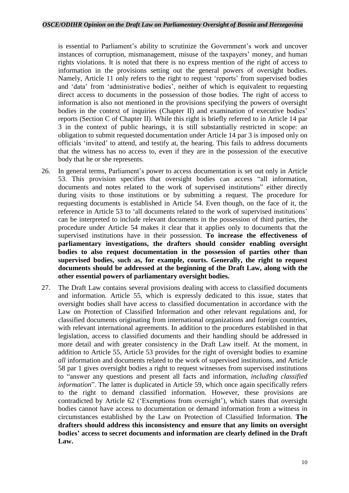is essential to Parliament's ability to scrutinize the Government's work and uncover instances of corruption, mismanagement, misuse of the taxpayers' money, and human rights violations. It is noted that there is no express mention of the right of access to information in the provisions setting out the general powers of oversight bodies. Namely, Article 11 only refers to the right to request 'reports' from supervised bodies and 'data' from 'administrative bodies', neither of which is equivalent to requesting direct access to documents in the possession of those bodies. The right of access to information is also not mentioned in the provisions specifying the powers of oversight bodies in the context of inquiries (Chapter II) and examination of executive bodies' reports (Section C of Chapter II). While this right is briefly referred to in Article 14 par 3 in the context of public hearings, it is still substantially restricted in scope: an obligation to submit requested documentation under Article 14 par 3 is imposed only on officials 'invited' to attend, and testify at, the hearing. This fails to address documents that the witness has no access to, even if they are in the possession of the executive body that he or she represents.

- 26. In general terms, Parliament's power to access documentation is set out only in Article 53. This provision specifies that oversight bodies can access "all information, documents and notes related to the work of supervised institutions" either directly during visits to those institutions or by submitting a request. The procedure for requesting documents is established in Article 54. Even though, on the face of it, the reference in Article 53 to 'all documents related to the work of supervised institutions' can be interpreted to include relevant documents in the possession of third parties, the procedure under Article 54 makes it clear that it applies only to documents that the supervised institutions have in their possession. **To increase the effectiveness of parliamentary investigations, the drafters should consider enabling oversight bodies to also request documentation in the possession of parties other than supervised bodies, such as, for example, courts. Generally, the right to request documents should be addressed at the beginning of the Draft Law, along with the other essential powers of parliamentary oversight bodies.**
- 27. The Draft Law contains several provisions dealing with access to classified documents and information. Article 55, which is expressly dedicated to this issue, states that oversight bodies shall have access to classified documentation in accordance with the Law on Protection of Classified Information and other relevant regulations and, for classified documents originating from international organizations and foreign countries, with relevant international agreements. In addition to the procedures established in that legislation, access to classified documents and their handling should be addressed in more detail and with greater consistency in the Draft Law itself. At the moment, in addition to Article 55, Article 53 provides for the right of oversight bodies to examine *all* information and documents related to the work of supervised institutions, and Article 58 par 1 gives oversight bodies a right to request witnesses from supervised institutions to "answer any questions and present all facts and information, *including classified information*". The latter is duplicated in Article 59, which once again specifically refers to the right to demand classified information. However, these provisions are contradicted by Article 62 ('Exemptions from oversight'), which states that oversight bodies cannot have access to documentation or demand information from a witness in circumstances established by the Law on Protection of Classified Information. **The drafters should address this inconsistency and ensure that any limits on oversight bodies' access to secret documents and information are clearly defined in the Draft Law.**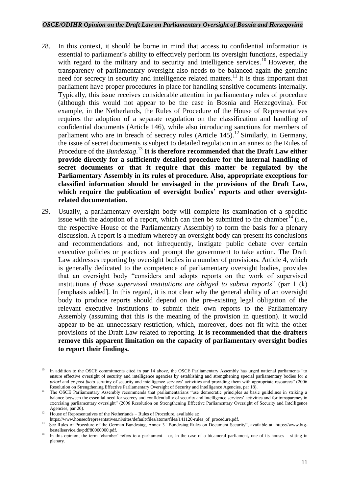- 28. In this context, it should be borne in mind that access to confidential information is essential to parliament's ability to effectively perform its oversight functions, especially with regard to the military and to security and intelligence services.<sup>10</sup> However, the transparency of parliamentary oversight also needs to be balanced again the genuine need for secrecy in security and intelligence related matters.<sup>11</sup> It is thus important that parliament have proper procedures in place for handling sensitive documents internally. Typically, this issue receives considerable attention in parliamentary rules of procedure (although this would not appear to be the case in Bosnia and Herzegovina). For example, in the Netherlands, the Rules of Procedure of the House of Representatives requires the adoption of a separate regulation on the classification and handling of confidential documents (Article 146), while also introducing sanctions for members of parliament who are in breach of secrecy rules (Article 145).<sup>12</sup> Similarly, in Germany, the issue of secret documents is subject to detailed regulation in an annex to the Rules of Procedure of the *Bundestag*. <sup>13</sup> **It is therefore recommended that the Draft Law either provide directly for a sufficiently detailed procedure for the internal handling of secret documents or that it require that this matter be regulated by the Parliamentary Assembly in its rules of procedure. Also, appropriate exceptions for classified information should be envisaged in the provisions of the Draft Law, which require the publication of oversight bodies' reports and other oversightrelated documentation.**
- 29. Usually, a parliamentary oversight body will complete its examination of a specific issue with the adoption of a report, which can then be submitted to the chamber<sup>14</sup> (i.e., the respective House of the Parliamentary Assembly) to form the basis for a plenary discussion. A report is a medium whereby an oversight body can present its conclusions and recommendations and, not infrequently, instigate public debate over certain executive policies or practices and prompt the government to take action. The Draft Law addresses reporting by oversight bodies in a number of provisions. Article 4, which is generally dedicated to the competence of parliamentary oversight bodies, provides that an oversight body "considers and adopts reports on the work of supervised institutions *if those supervised institutions are obliged to submit reports*" (par 1 (k) [emphasis added]. In this regard, it is not clear why the general ability of an oversight body to produce reports should depend on the pre-existing legal obligation of the relevant executive institutions to submit their own reports to the Parliamentary Assembly (assuming that this is the meaning of the provision in question). It would appear to be an unnecessary restriction, which, moreover, does not fit with the other provisions of the Draft Law related to reporting. **It is recommended that the drafters remove this apparent limitation on the capacity of parliamentary oversight bodies to report their findings.**

**<sup>.</sup>** In addition to the OSCE commitments cited in par 14 above, the OSCE Parliamentary Assembly has urged national parliaments "to ensure effective oversight of security and intelligence agencies by establishing and strengthening special parliamentary bodies for *a priori* and *ex post facto* scrutiny of security and intelligence services' activities and providing them with appropriate resources" (2006 Resolution on Strengthening Effective Parliamentary Oversight of Security and Intelligence Agencies, par 18).

<sup>11</sup> The OSCE Parliamentary Assembly recommends that parliamentarians "use democratic principles as basic guidelines in striking a balance between the essential need for secrecy and confidentiality of security and intelligence services' activities and for transparency in exercising parliamentary oversight" (2006 Resolution on Strengthening Effective Parliamentary Oversight of Security and Intelligence Agencies, par 20).

 $12$  House of Representatives of the Netherlands – Rules of Procedure, available at:

https://www.houseofrepresentatives.nl/sites/default/files/atoms/files/141120-rules\_of\_procedure.pdf. 13

See Rules of Procedure of the German Bundestag, Annex 3 "Bundestag Rules on Document Security", available at: https://www.btgbestellservice.de/pdf/80060000.pdf.

<sup>14</sup> In this opinion, the term 'chamber' refers to a parliament – or, in the case of a bicameral parliament, one of its houses – sitting in plenary.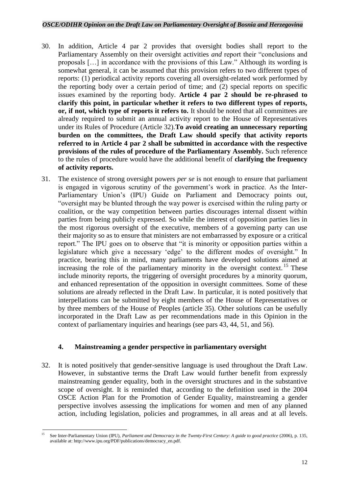- 30. In addition, Article 4 par 2 provides that oversight bodies shall report to the Parliamentary Assembly on their oversight activities *and* report their "conclusions and proposals […] in accordance with the provisions of this Law." Although its wording is somewhat general, it can be assumed that this provision refers to two different types of reports: (1) periodical activity reports covering all oversight-related work performed by the reporting body over a certain period of time; and (2) special reports on specific issues examined by the reporting body. **Article 4 par 2 should be re-phrased to clarify this point, in particular whether it refers to two different types of reports, or, if not, which type of reports it refers to.** It should be noted that all committees are already required to submit an annual activity report to the House of Representatives under its Rules of Procedure (Article 32).**To avoid creating an unnecessary reporting burden on the committees, the Draft Law should specify that activity reports referred to in Article 4 par 2 shall be submitted in accordance with the respective provisions of the rules of procedure of the Parliamentary Assembly.** Such reference to the rules of procedure would have the additional benefit of **clarifying the frequency of activity reports.**
- 31. The existence of strong oversight powers *per se* is not enough to ensure that parliament is engaged in vigorous scrutiny of the government's work in practice. As the Inter-Parliamentary Union's (IPU) Guide on Parliament and Democracy points out, "oversight may be blunted through the way power is exercised within the ruling party or coalition, or the way competition between parties discourages internal dissent within parties from being publicly expressed. So while the interest of opposition parties lies in the most rigorous oversight of the executive, members of a governing party can use their majority so as to ensure that ministers are not embarrassed by exposure or a critical report." The IPU goes on to observe that "it is minority or opposition parties within a legislature which give a necessary 'edge' to the different modes of oversight." In practice, bearing this in mind, many parliaments have developed solutions aimed at increasing the role of the parliamentary minority in the oversight context.<sup>15</sup> These include minority reports, the triggering of oversight procedures by a minority quorum, and enhanced representation of the opposition in oversight committees. Some of these solutions are already reflected in the Draft Law. In particular, it is noted positively that interpellations can be submitted by eight members of the House of Representatives or by three members of the House of Peoples (article 35). Other solutions can be usefully incorporated in the Draft Law as per recommendations made in this Opinion in the context of parliamentary inquiries and hearings (see pars 43, 44, 51, and 56).

### <span id="page-11-0"></span>**4. Mainstreaming a gender perspective in parliamentary oversight**

32. It is noted positively that gender-sensitive language is used throughout the Draft Law. However, in substantive terms the Draft Law would further benefit from expressly mainstreaming gender equality, both in the oversight structures and in the substantive scope of oversight. It is reminded that, according to the definition used in the 2004 OSCE Action Plan for the Promotion of Gender Equality, mainstreaming a gender perspective involves assessing the implications for women and men of any planned action, including legislation, policies and programmes, in all areas and at all levels.

 $\overline{\phantom{a}}$ See Inter-Parliamentary Union (IPU), *Parliament and Democracy in the Twenty-First Century: A guide to good practice* (2006), p. 135, available at: http://www.ipu.org/PDF/publications/democracy\_en.pdf.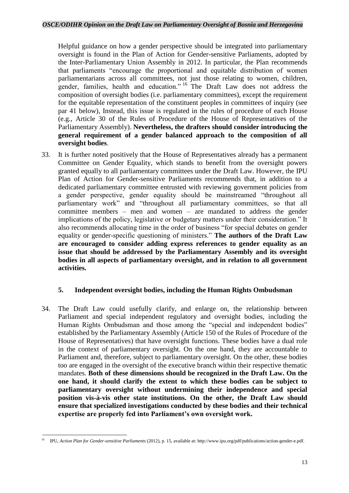Helpful guidance on how a gender perspective should be integrated into parliamentary oversight is found in the Plan of Action for Gender-sensitive Parliaments, adopted by the Inter-Parliamentary Union Assembly in 2012. In particular, the Plan recommends that parliaments "encourage the proportional and equitable distribution of women parliamentarians across all committees, not just those relating to women, children, gender, families, health and education." <sup>16</sup> The Draft Law does not address the composition of oversight bodies (i.e. parliamentary committees), except the requirement for the equitable representation of the constituent peoples in committees of inquiry (see par 41 below), Instead, this issue is regulated in the rules of procedure of each House (e.g., Article 30 of the Rules of Procedure of the House of Representatives of the Parliamentary Assembly). **Nevertheless, the drafters should consider introducing the general requirement of a gender balanced approach to the composition of all oversight bodies**.

33. It is further noted positively that the House of Representatives already has a permanent Committee on Gender Equality, which stands to benefit from the oversight powers granted equally to all parliamentary committees under the Draft Law. However, the IPU Plan of Action for Gender-sensitive Parliaments recommends that, in addition to a dedicated parliamentary committee entrusted with reviewing government policies from a gender perspective, gender equality should be mainstreamed "throughout all parliamentary work" and "throughout all parliamentary committees, so that all committee members – men and women – are mandated to address the gender implications of the policy, legislative or budgetary matters under their consideration." It also recommends allocating time in the order of business "for special debates on gender equality or gender-specific questioning of ministers." **The authors of the Draft Law are encouraged to consider adding express references to gender equality as an issue that should be addressed by the Parliamentary Assembly and its oversight bodies in all aspects of parliamentary oversight, and in relation to all government activities.**

### <span id="page-12-0"></span>**5. Independent oversight bodies, including the Human Rights Ombudsman**

34. The Draft Law could usefully clarify, and enlarge on, the relationship between Parliament and special independent regulatory and oversight bodies, including the Human Rights Ombudsman and those among the "special and independent bodies" established by the Parliamentary Assembly (Article 150 of the Rules of Procedure of the House of Representatives) that have oversight functions. These bodies have a dual role in the context of parliamentary oversight. On the one hand, they are accountable to Parliament and, therefore, subject to parliamentary oversight. On the other, these bodies too are engaged in the oversight of the executive branch within their respective thematic mandates. **Both of these dimensions should be recognized in the Draft Law. On the one hand, it should clarify the extent to which these bodies can be subject to parliamentary oversight without undermining their independence and special position vis-à-vis other state institutions. On the other, the Draft Law should ensure that specialized investigations conducted by these bodies and their technical expertise are properly fed into Parliament's own oversight work.**

<sup>1</sup> <sup>16</sup> IPU, *Action Plan for Gender-sensitive Parliaments* (2012), p. 15, available at: http://www.ipu.org/pdf/publications/action-gender-e.pdf.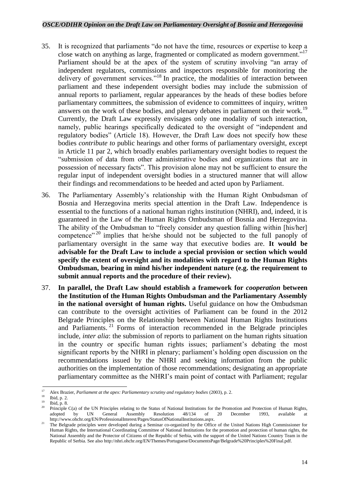- 35. It is recognized that parliaments "do not have the time, resources or expertise to keep a close watch on anything as large, fragmented or complicated as modern government."<sup>17</sup> Parliament should be at the apex of the system of scrutiny involving "an array of independent regulators, commissions and inspectors responsible for monitoring the delivery of government services."<sup>18</sup> In practice, the modalities of interaction between parliament and these independent oversight bodies may include the submission of annual reports to parliament, regular appearances by the heads of these bodies before parliamentary committees, the submission of evidence to committees of inquiry, written answers on the work of these bodies, and plenary debates in parliament on their work.<sup>19</sup> Currently, the Draft Law expressly envisages only one modality of such interaction, namely, public hearings specifically dedicated to the oversight of "independent and regulatory bodies" (Article 18). However, the Draft Law does not specify how these bodies *contribute to* public hearings and other forms of parliamentary oversight, except in Article 11 par 2, which broadly enables parliamentary oversight bodies to request the "submission of data from other administrative bodies and organizations that are in possession of necessary facts". This provision alone may not be sufficient to ensure the regular input of independent oversight bodies in a structured manner that will allow their findings and recommendations to be heeded and acted upon by Parliament.
- 36. The Parliamentary Assembly's relationship with the Human Right Ombudsman of Bosnia and Herzegovina merits special attention in the Draft Law. Independence is essential to the functions of a national human rights institution (NHRI), and, indeed, it is guaranteed in the Law of the Human Rights Ombudsman of Bosnia and Herzegovina. The ability of the Ombudsman to "freely consider any question falling within [his/her] competence"<sup>20</sup> implies that he/she should not be subjected to the full panoply of parliamentary oversight in the same way that executive bodies are. **It would be advisable for the Draft Law to include a special provision or section which would specify the extent of oversight and its modalities with regard to the Human Rights Ombudsman, bearing in mind his/her independent nature (e.g. the requirement to submit annual reports and the procedure of their review).**
- 37. **In parallel, the Draft Law should establish a framework for** *cooperation* **between the Institution of the Human Rights Ombudsman and the Parliamentary Assembly in the national oversight of human rights.** Useful guidance on how the Ombudsman can contribute to the oversight activities of Parliament can be found in the 2012 Belgrade Principles on the Relationship between National Human Rights Institutions and Parliaments.<sup>21</sup> Forms of interaction recommended in the Belgrade principles include, *inter alia*: the submission of reports to parliament on the human rights situation in the country or specific human rights issues; parliament's debating the most significant reports by the NHRI in plenary; parliament's holding open discussion on the recommendations issued by the NHRI and seeking information from the public authorities on the implementation of those recommendations; designating an appropriate parliamentary committee as the NHRI's main point of contact with Parliament; regular

 $17$ <sup>17</sup> Alex Brazier, *Parliament at the apex: Parliamentary scrutiny and regulatory bodies* (2003), p. 2.<br><sup>18</sup> T<sub>1</sub> 1<sub>1</sub>

 $\frac{18}{19}$  Ibid, p. 2.

 $\frac{19}{20}$  Ibid, p. 8.

Principle C(a) of the UN Principles relating to the Status of National Institutions for the Promotion and Protection of Human Rights, adopted by UN General Assembly Resolution 48/134 of 20 December 1993, available at adopted by UN General Assembly Resolution 48/134 of 20 December 1993, available http://www.ohchr.org/EN/ProfessionalInterest/Pages/StatusOfNationalInstitutions.aspx.

<sup>&</sup>lt;sup>21</sup> The Belgrade principles were developed during a Seminar co-organized by the Office of the United Nations High Commissioner for Human Rights, the International Coordinating Committee of National Institutions for the promotion and protection of human rights, the National Assembly and the Protector of Citizens of the Republic of Serbia, with the support of the United Nations Country Team in the Republic of Serbia. See also http://nhri.ohchr.org/EN/Themes/Portuguese/DocumentsPage/Belgrade%20Principles%20Final.pdf.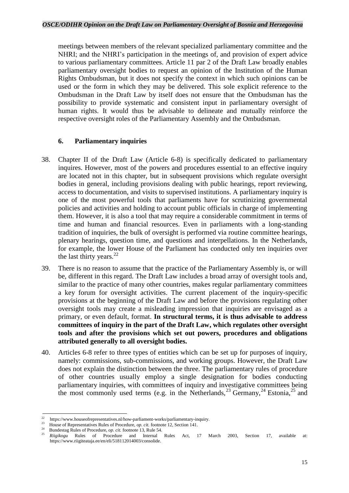meetings between members of the relevant specialized parliamentary committee and the NHRI; and the NHRI's participation in the meetings of, and provision of expert advice to various parliamentary committees. Article 11 par 2 of the Draft Law broadly enables parliamentary oversight bodies to request an opinion of the Institution of the Human Rights Ombudsman, but it does not specify the context in which such opinions can be used or the form in which they may be delivered. This sole explicit reference to the Ombudsman in the Draft Law by itself does not ensure that the Ombudsman has the possibility to provide systematic and consistent input in parliamentary oversight of human rights. It would thus be advisable to delineate and mutually reinforce the respective oversight roles of the Parliamentary Assembly and the Ombudsman.

### <span id="page-14-0"></span>**6. Parliamentary inquiries**

- 38. Chapter II of the Draft Law (Article 6-8) is specifically dedicated to parliamentary inquires. However, most of the powers and procedures essential to an effective inquiry are located not in this chapter, but in subsequent provisions which regulate oversight bodies in general, including provisions dealing with public hearings, report reviewing, access to documentation, and visits to supervised institutions. A parliamentary inquiry is one of the most powerful tools that parliaments have for scrutinizing governmental policies and activities and holding to account public officials in charge of implementing them. However, it is also a tool that may require a considerable commitment in terms of time and human and financial resources. Even in parliaments with a long-standing tradition of inquiries, the bulk of oversight is performed via routine committee hearings, plenary hearings, question time, and questions and interpellations. In the Netherlands, for example, the lower House of the Parliament has conducted only ten inquiries over the last thirty years. $^{22}$
- 39. There is no reason to assume that the practice of the Parliamentary Assembly is, or will be, different in this regard. The Draft Law includes a broad array of oversight tools and, similar to the practice of many other countries, makes regular parliamentary committees a key forum for oversight activities. The current placement of the inquiry-specific provisions at the beginning of the Draft Law and before the provisions regulating other oversight tools may create a misleading impression that inquiries are envisaged as a primary, or even default, format. **In structural terms, it is thus advisable to address committees of inquiry in the part of the Draft Law, which regulates other oversight tools and after the provisions which set out powers, procedures and obligations attributed generally to all oversight bodies.**
- 40. Articles 6-8 refer to three types of entities which can be set up for purposes of inquiry, namely: commissions, sub-commissions, and working groups. However, the Draft Law does not explain the distinction between the three. The parliamentary rules of procedure of other countries usually employ a single designation for bodies conducting parliamentary inquiries, with committees of inquiry and investigative committees being the most commonly used terms (e.g. in the Netherlands,  $^{23}$  Germany,  $^{24}$  Estonia,  $^{25}$  and

 $\overline{\mathcal{D}}$ https://www.houseofrepresentatives.nl/how-parliament-works/parliamentary-inquiry.

 $23$ House of Representatives Rules of Procedure, *op. cit.* footnote 12, Section 141.

<sup>24</sup> <sup>24</sup> Bundestag Rules of Procedure, *op. cit.* footnote 13, Rule 54.

<sup>25</sup> *Riigikogu* Rules of Procedure and Internal Rules Act, 17 March 2003, Section 17, available at: https://www.riigiteataja.ee/en/eli/518112014003/consolide.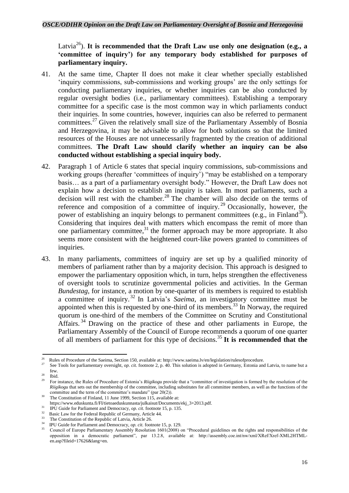Latvia<sup>26</sup>). **It is recommended that the Draft Law use only one designation (e.g., a 'committee of inquiry') for any temporary body established for purposes of parliamentary inquiry.**

- 41. At the same time, Chapter II does not make it clear whether specially established 'inquiry commissions, sub-commissions and working groups' are the only settings for conducting parliamentary inquiries, or whether inquiries can be also conducted by regular oversight bodies (i.e., parliamentary committees). Establishing a temporary committee for a specific case is the most common way in which parliaments conduct their inquiries. In some countries, however, inquiries can also be referred to permanent committees.<sup>27</sup> Given the relatively small size of the Parliamentary Assembly of Bosnia and Herzegovina, it may be advisable to allow for both solutions so that the limited resources of the Houses are not unnecessarily fragmented by the creation of additional committees. **The Draft Law should clarify whether an inquiry can be also conducted without establishing a special inquiry body.**
- 42. Paragraph 1 of Article 6 states that special inquiry commissions, sub-commissions and working groups (hereafter 'committees of inquiry') "may be established on a temporary basis… as a part of a parliamentary oversight body." However, the Draft Law does not explain how a decision to establish an inquiry is taken. In most parliaments, such a decision will rest with the chamber.<sup>28</sup> The chamber will also decide on the terms of reference and composition of a committee of inquiry.<sup>29</sup> Occasionally, however, the power of establishing an inquiry belongs to permanent committees (e.g., in Finland<sup>30</sup>). Considering that inquires deal with matters which encompass the remit of more than one parliamentary committee, $31$  the former approach may be more appropriate. It also seems more consistent with the heightened court-like powers granted to committees of inquiries.
- 43. In many parliaments, committees of inquiry are set up by a qualified minority of members of parliament rather than by a majority decision. This approach is designed to empower the parliamentary opposition which, in turn, helps strengthen the effectiveness of oversight tools to scrutinize governmental policies and activities. In the German *Bundestag*, for instance, a motion by one-quarter of its members is required to establish a committee of inquiry. <sup>32</sup> In Latvia's *Saeima*, an investigatory committee must be appointed when this is requested by one-third of its members. <sup>33</sup> In Norway, the required quorum is one-third of the members of the Committee on Scrutiny and Constitutional Affairs.<sup>34</sup> Drawing on the practice of these and other parliaments in Europe, the Parliamentary Assembly of the Council of Europe recommends a quorum of one quarter of all members of parliament for this type of decisions.<sup>35</sup> It is recommended that the

 $\frac{1}{26}$  Rules of Procedure of the Saeima, Section 150, available at: http://www.saeima.lv/en/legislation/rulesofprocedure.  $27$ 

See Tools for parliamentary oversight, *op. cit.* footnote 2, p. 40. This solution is adopted in Germany, Estonia and Latvia, to name but a few.

 $rac{28}{29}$  Ibid.

<sup>29</sup> For instance, the Rules of Procedure of Estonia's *Riigikogu* provide that a "committee of investigation is formed by the resolution of the *Riigikogu* that sets out the membership of the committee, including substitutes for all committee members, as well as the functions of the committee and the term of the committee's mandate" (par 20(2)).

The Constitution of Finland, 11 June 1999, Section 115, available at:

https://www.eduskunta.fi/FI/tietoaeduskunnasta/julkaisut/Documents/ekj\_3+2013.pdf.

<sup>&</sup>lt;sup>31</sup> IPU Guide for Parliament and Democracy, *op. cit.* footnote 15, p. 135.

Basic Law for the Federal Republic of Germany, Article 44. 33

The Constitution of the Republic of Latvia, Article 26. 34

IPU Guide for Parliament and Democracy, *op. cit.* footnote 15, p. 129.

<sup>35</sup> Council of Europe Parliamentary Assembly Resolution 1601(2008) on "Procedural guidelines on the rights and responsibilities of the opposition in a democratic parliament", par 13.2.8, available at: http://assembly.coe.int/nw/xml/XRef/Xref-XML2HTMLen.asp?fileid=17626&lang=en.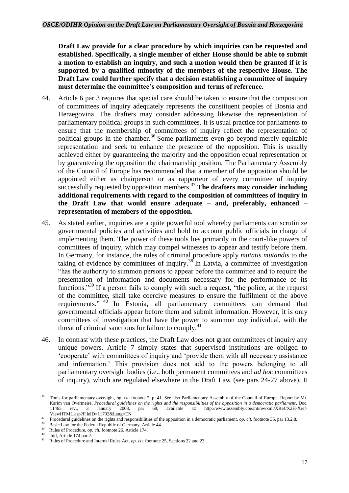**Draft Law provide for a clear procedure by which inquiries can be requested and established. Specifically, a single member of either House should be able to submit a motion to establish an inquiry, and such a motion would then be granted if it is supported by a qualified minority of the members of the respective House. The Draft Law could further specify that a decision establishing a committee of inquiry must determine the committee's composition and terms of reference.**

- 44. Article 6 par 3 requires that special care should be taken to ensure that the composition of committees of inquiry adequately represents the constituent peoples of Bosnia and Herzegovina. The drafters may consider addressing likewise the representation of parliamentary political groups in such committees. It is usual practice for parliaments to ensure that the membership of committees of inquiry reflect the representation of political groups in the chamber.<sup>36</sup> Some parliaments even go beyond merely equitable representation and seek to enhance the presence of the opposition. This is usually achieved either by guaranteeing the majority and the opposition equal representation or by guaranteeing the opposition the chairmanship position. The Parliamentary Assembly of the Council of Europe has recommended that a member of the opposition should be appointed either as chairperson or as rapporteur of every committee of inquiry successfully requested by opposition members.<sup>37</sup> The drafters may consider including **additional requirements with regard to the composition of committees of inquiry in the Draft Law that would ensure adequate – and, preferably, enhanced – representation of members of the opposition.**
- 45. As stated earlier, inquiries are a quite powerful tool whereby parliaments can scrutinize governmental policies and activities and hold to account public officials in charge of implementing them. The power of these tools lies primarily in the court-like powers of committees of inquiry, which may compel witnesses to appear and testify before them. In Germany, for instance, the rules of criminal procedure apply *mutatis mutandis* to the taking of evidence by committees of inquiry.<sup>38</sup> In Latvia, a committee of investigation "has the authority to summon persons to appear before the committee and to require the presentation of information and documents necessary for the performance of its functions."<sup>39</sup> If a person fails to comply with such a request, "the police, at the request of the committee, shall take coercive measures to ensure the fulfilment of the above requirements."<sup>40</sup> In Estonia, all parliamentary committees can demand that governmental officials appear before them and submit information. However, it is only committees of investigation that have the power to summon *any* individual, with the threat of criminal sanctions for failure to comply.<sup>41</sup>
- 46. In contrast with these practices, the Draft Law does not grant committees of inquiry any unique powers. Article 7 simply states that supervised institutions are obliged to 'cooperate' with committees of inquiry and 'provide them with all necessary assistance and information.' This provision does not add to the powers belonging to all parliamentary oversight bodies (i.e., both permanent committees and *ad hoc* committees of inquiry), which are regulated elsewhere in the Draft Law (see pars 24-27 above). It

 $36$ <sup>36</sup> Tools for parliamentary oversight, *op. cit.* foonote 2, p. 41. See also Parliamentary Assembly of the Council of Europe, Report by Mr. Karim van Overmeire, *Procedural guidelines on the rights and the responsibilities of the opposition in a democratic parliament*, Doc. 11465 rev., 3 January 2008, par 68, available at: http://www.assembly.coe.int/nw/xml/XRef/X2H-Xref-ViewHTML.asp?FileID=11792&Lang=EN.

<sup>&</sup>lt;sup>37</sup> Procedural guidelines on the rights and responsibilities of the opposition in a democratic parliament, *op. cit.* footnote 35, par 13.2.8. 38

Basic Law for the Federal Republic of Germany, Article 44. 39

Rules of Procedure, *op. cit.* footnote 26, Article 174. 40

Ibid, Article 174 par 2. 41

Rules of Procedure and Internal Rules Act, *op. cit.* footnote 25, Sections 22 and 23.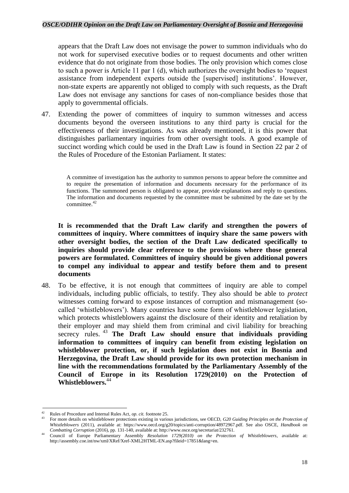### *OSCE/ODIHR Opinion on the Draft Law on Parliamentary Oversight of Bosnia and Herzegovina*

appears that the Draft Law does not envisage the power to summon individuals who do not work for supervised executive bodies or to request documents and other written evidence that do not originate from those bodies. The only provision which comes close to such a power is Article 11 par 1 (d), which authorizes the oversight bodies to 'request assistance from independent experts outside the [supervised] institutions'. However, non-state experts are apparently not obliged to comply with such requests, as the Draft Law does not envisage any sanctions for cases of non-compliance besides those that apply to governmental officials.

47. Extending the power of committees of inquiry to summon witnesses and access documents beyond the overseen institutions to any third party is crucial for the effectiveness of their investigations. As was already mentioned, it is this power that distinguishes parliamentary inquiries from other oversight tools. A good example of succinct wording which could be used in the Draft Law is found in Section 22 par 2 of the Rules of Procedure of the Estonian Parliament. It states:

A committee of investigation has the authority to summon persons to appear before the committee and to require the presentation of information and documents necessary for the performance of its functions. The summoned person is obligated to appear, provide explanations and reply to questions. The information and documents requested by the committee must be submitted by the date set by the committee.<sup>42</sup>

**It is recommended that the Draft Law clarify and strengthen the powers of committees of inquiry. Where committees of inquiry share the same powers with other oversight bodies, the section of the Draft Law dedicated specifically to inquiries should provide clear reference to the provisions where those general powers are formulated. Committees of inquiry should be given additional powers to compel any individual to appear and testify before them and to present documents**

48. To be effective, it is not enough that committees of inquiry are able to compel individuals, including public officials, to testify. They also should be able to *protect* witnesses coming forward to expose instances of corruption and mismanagement (socalled 'whistleblowers'). Many countries have some form of whistleblower legislation, which protects whistleblowers against the disclosure of their identity and retaliation by their employer and may shield them from criminal and civil liability for breaching secrecy rules. <sup>43</sup> **The Draft Law should ensure that individuals providing information to committees of inquiry can benefit from existing legislation on whistleblower protection, or, if such legislation does not exist in Bosnia and Herzegovina, the Draft Law should provide for its own protection mechanism in line with the recommendations formulated by the Parliamentary Assembly of the Council of Europe in its Resolution 1729(2010) on the Protection of Whistleblowers.**<sup>44</sup>

1

<sup>42</sup> Rules of Procedure and Internal Rules Act, *op. cit.* footnote 25.

<sup>43</sup> For more details on whistleblower protections existing in various jurisdictions, see OECD, *G20 Guiding Principles on the Protection of Whistleblowers* (2011), available at: https://www.oecd.org/g20/topics/anti-corruption/48972967.pdf. See also OSCE, *Handbook on Combatting Corruption* (2016), pp. 131-140, available at: http://www.osce.org/secretariat/232761.

<sup>44</sup> Council of Europe Parliamentary Assembly *Resolution 1729(2010) on the Protection of Whistleblowers*, available at: http://assembly.coe.int/nw/xml/XRef/Xref-XML2HTML-EN.asp?fileid=17851&lang=en.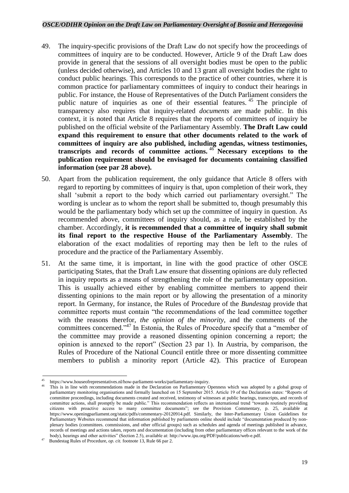- 49. The inquiry-specific provisions of the Draft Law do not specify how the proceedings of committees of inquiry are to be conducted. However, Article 9 of the Draft Law does provide in general that the sessions of all oversight bodies must be open to the public (unless decided otherwise), and Articles 10 and 13 grant all oversight bodies the right to conduct public hearings. This corresponds to the practice of other countries, where it is common practice for parliamentary committees of inquiry to conduct their hearings in public. For instance, the House of Representatives of the Dutch Parliament considers the public nature of inquiries as one of their essential features. <sup>45</sup> The principle of transparency also requires that inquiry-related *documents* are made public. In this context, it is noted that Article 8 requires that the reports of committees of inquiry be published on the official website of the Parliamentary Assembly. **The Draft Law could expand this requirement to ensure that other documents related to the work of committees of inquiry are also published, including agendas, witness testimonies, transcripts and records of committee actions.** <sup>46</sup> **Necessary exceptions to the publication requirement should be envisaged for documents containing classified information (see par 28 above).**
- 50. Apart from the publication requirement, the only guidance that Article 8 offers with regard to reporting by committees of inquiry is that, upon completion of their work, they shall 'submit a report to the body which carried out parliamentary oversight." The wording is unclear as to whom the report shall be submitted to, though presumably this would be the parliamentary body which set up the committee of inquiry in question. As recommended above, committees of inquiry should, as a rule, be established by the chamber. Accordingly, **it is recommended that a committee of inquiry shall submit its final report to the respective House of the Parliamentary Assembly**. The elaboration of the exact modalities of reporting may then be left to the rules of procedure and the practice of the Parliamentary Assembly.
- 51. At the same time, it is important, in line with the good practice of other OSCE participating States, that the Draft Law ensure that dissenting opinions are duly reflected in inquiry reports as a means of strengthening the role of the parliamentary opposition. This is usually achieved either by enabling committee members to append their dissenting opinions to the main report or by allowing the presentation of a minority report. In Germany, for instance, the Rules of Procedure of the *Bundestag* provide that committee reports must contain "the recommendations of the lead committee together with the reasons therefor, *the opinion of the minority*, and the comments of the committees concerned."<sup>47</sup> In Estonia, the Rules of Procedure specify that a "member of the committee may provide a reasoned dissenting opinion concerning a report; the opinion is annexed to the report" (Section 23 par 1). In Austria, by comparison, the Rules of Procedure of the National Council entitle three or more dissenting committee members to publish a minority report (Article 42). This practice of European

**<sup>.</sup>** https://www.houseofrepresentatives.nl/how-parliament-works/parliamentary-inquiry.

This is in line with recommendations made in the Declaration on Parliamentary Openness which was adopted by a global group of parliamentary monitoring organisations and formally launched on 15 September 2015. Article 19 of the Declaration states: "Reports of committee proceedings, including documents created and received, testimony of witnesses at public hearings, transcripts, and records of committee actions, shall promptly be made public." This recommendation reflects an international trend "towards routinely providing" citizens with proactive access to many committee documents"; see the Provision Commentary, p. 25, available at https://www.openingparliament.org/static/pdfs/commentary-20120914.pdf. Similarly, the Inter-Parliamentary Union Guidelines for Parliamentary Websites recommend that information published by parliaments online should include "documentation produced by nonplenary bodies (committees. commissions, and other official groups) such as schedules and agenda of meetings published in advance, records of meetings and actions taken, reports and documentation (including from other parliamentary offices relevant to the work of the body), hearings and other activities" (Section 2.5), available at: http://www.ipu.org/PDF/publications/web-e.pdf.

<sup>47</sup> Bundestag Rules of Procedure, *op. cit.* footnote 13, Rule 66 par 2.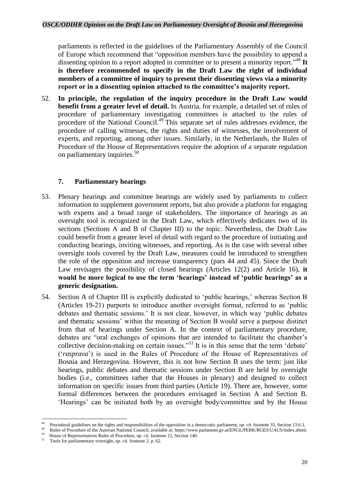parliaments is reflected in the guidelines of the Parliamentary Assembly of the Council of Europe which recommend that "opposition members have the possibility to append a dissenting opinion to a report adopted in committee or to present a minority report." <sup>48</sup> **It is therefore recommended to specify in the Draft Law the right of individual members of a committee of inquiry to present their dissenting views via a minority report or in a dissenting opinion attached to the committee's majority report.** 

52. **In principle, the regulation of the inquiry procedure in the Draft Law would benefit from a greater level of detail.** In Austria, for example, a detailed set of rules of procedure of parliamentary investigating committees is attached to the rules of procedure of the National Council.<sup>49</sup> This separate set of rules addresses evidence, the procedure of calling witnesses, the rights and duties of witnesses, the involvement of experts, and reporting, among other issues. Similarly, in the Netherlands, the Rules of Procedure of the House of Representatives require the adoption of a separate regulation on parliamentary inquiries.<sup>50</sup>

### **7. Parliamentary hearings**

- <span id="page-19-0"></span>53. Plenary hearings and committee hearings are widely used by parliaments to collect information to supplement government reports, but also provide a platform for engaging with experts and a broad range of stakeholders. The importance of hearings as an oversight tool is recognized in the Draft Law, which effectively dedicates two of its sections (Sections A and B of Chapter III) to the topic. Nevertheless, the Draft Law could benefit from a greater level of detail with regard to the procedure of initiating and conducting hearings, inviting witnesses, and reporting. As is the case with several other oversight tools covered by the Draft Law, measures could be introduced to strengthen the role of the opposition and increase transparency (pars 44 and 45). Since the Draft Law envisages the possibility of closed hearings (Articles 12(2) and Article 16), **it would be more logical to use the term 'hearings' instead of 'public hearings' as a generic designation.**
- 54. Section A of Chapter III is explicitly dedicated to 'public hearings,' whereas Section B (Articles 19-21) purports to introduce another oversight format, referred to as 'public debates and thematic sessions.' It is not clear, however, in which way 'public debates and thematic sessions' within the meaning of Section B would serve a purpose distinct from that of hearings under Section A. In the context of parliamentary procedure, debates are "oral exchanges of opinions that are intended to facilitate the chamber's collective decision-making on certain issues."<sup>51</sup> It is in this sense that the term 'debate' ('*rasprava*') is used in the Rules of Procedure of the House of Representatives of Bosnia and Herzegovina. However, this is not how Section B uses the term: just like hearings, public debates and thematic sessions under Section B are held by oversight bodies (i.e., committees rather that the Houses in plenary) and designed to collect information on specific issues from third parties (Article 19). There are, however, some formal differences between the procedures envisaged in Section A and Section B. 'Hearings' can be initiated both by an oversight body/committee and by the House

 $\frac{1}{48}$ <sup>48</sup> Procedural guidelines on the rights and responsibilities of the opposition in a democratic parliament, *op. cit.* footnote 35, Section 13.6.3.

Rules of Procedure of the Austrian National Council, available at: https://www.parlament.gv.at/ENGL/PERK/RGES/UAUS/index.shtml.

<sup>50</sup> <sup>50</sup> House of Representatives Rules of Procedure, *op. cit.* footnote 12, Section 140.

<sup>51</sup> Tools for parliamentary oversight, *op. cit.* footnote 2, p. 62.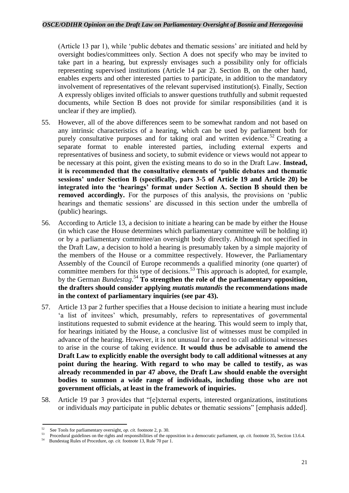(Article 13 par 1), while 'public debates and thematic sessions' are initiated and held by oversight bodies/committees only. Section A does not specify who may be invited to take part in a hearing, but expressly envisages such a possibility only for officials representing supervised institutions (Article 14 par 2). Section B, on the other hand, enables experts and other interested parties to participate, in addition to the mandatory involvement of representatives of the relevant supervised institution(s). Finally, Section A expressly obliges invited officials to answer questions truthfully and submit requested documents, while Section B does not provide for similar responsibilities (and it is unclear if they are implied).

- 55. However, all of the above differences seem to be somewhat random and not based on any intrinsic characteristics of a hearing, which can be used by parliament both for purely consultative purposes and for taking oral and written evidence.<sup>52</sup> Creating a separate format to enable interested parties, including external experts and representatives of business and society, to submit evidence or views would not appear to be necessary at this point, given the existing means to do so in the Draft Law. **Instead, it is recommended that the consultative elements of 'public debates and thematic sessions' under Section B (specifically, pars 3-5 of Article 19 and Article 20) be integrated into the 'hearings' format under Section A. Section B should then be removed accordingly.** For the purposes of this analysis, the provisions on 'public hearings and thematic sessions' are discussed in this section under the umbrella of (public) hearings.
- 56. According to Article 13, a decision to initiate a hearing can be made by either the House (in which case the House determines which parliamentary committee will be holding it) or by a parliamentary committee/an oversight body directly. Although not specified in the Draft Law, a decision to hold a hearing is presumably taken by a simple majority of the members of the House or a committee respectively. However, the Parliamentary Assembly of the Council of Europe recommends a qualified minority (one quarter) of committee members for this type of decisions.<sup>53</sup> This approach is adopted, for example, by the German *Bundestag*.<sup>54</sup> To strengthen the role of the parliamentary opposition, **the drafters should consider applying** *mutatis mutandis* **the recommendations made in the context of parliamentary inquiries (see par 43).**
- 57. Article 13 par 2 further specifies that a House decision to initiate a hearing must include 'a list of invitees' which, presumably, refers to representatives of governmental institutions requested to submit evidence at the hearing. This would seem to imply that, for hearings initiated by the House, a conclusive list of witnesses must be compiled in advance of the hearing. However, it is not unusual for a need to call additional witnesses to arise in the course of taking evidence. **It would thus be advisable to amend the Draft Law to explicitly enable the oversight body to call additional witnesses at any point during the hearing. With regard to who may be called to testify, as was already recommended in par 47 above, the Draft Law should enable the oversight bodies to summon a wide range of individuals, including those who are not government officials, at least in the framework of inquiries.**
- 58. Article 19 par 3 provides that "[e]xternal experts, interested organizations, institutions or individuals *may* participate in public debates or thematic sessions" [emphasis added].

**<sup>.</sup>** <sup>52</sup> See Tools for parliamentary oversight, *op. cit.* footnote 2, p. 30.

<sup>&</sup>lt;sup>53</sup> Procedural guidelines on the rights and responsibilities of the opposition in a democratic parliament, *op. cit.* footnote 35, Section 13.6.4.

<sup>54</sup> Bundestag Rules of Procedure, *op. cit.* footnote 13, Rule 70 par 1.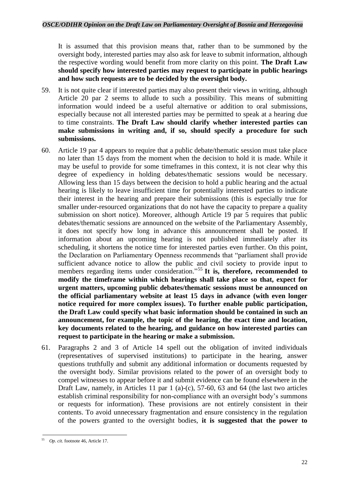It is assumed that this provision means that, rather than to be summoned by the oversight body, interested parties may also ask for leave to submit information, although the respective wording would benefit from more clarity on this point. **The Draft Law should specify how interested parties may request to participate in public hearings and how such requests are to be decided by the oversight body.**

- 59. It is not quite clear if interested parties may also present their views in writing, although Article 20 par 2 seems to allude to such a possibility. This means of submitting information would indeed be a useful alternative or addition to oral submissions, especially because not all interested parties may be permitted to speak at a hearing due to time constraints. **The Draft Law should clarify whether interested parties can make submissions in writing and, if so, should specify a procedure for such submissions.**
- 60. Article 19 par 4 appears to require that a public debate/thematic session must take place no later than 15 days from the moment when the decision to hold it is made. While it may be useful to provide for some timeframes in this context, it is not clear why this degree of expediency in holding debates/thematic sessions would be necessary. Allowing less than 15 days between the decision to hold a public hearing and the actual hearing is likely to leave insufficient time for potentially interested parties to indicate their interest in the hearing and prepare their submissions (this is especially true for smaller under-resourced organizations that do not have the capacity to prepare a quality submission on short notice). Moreover, although Article 19 par 5 requires that public debates/thematic sessions are announced on the website of the Parliamentary Assembly, it does not specify how long in advance this announcement shall be posted. If information about an upcoming hearing is not published immediately after its scheduling, it shortens the notice time for interested parties even further. On this point, the Declaration on Parliamentary Openness recommends that "parliament shall provide sufficient advance notice to allow the public and civil society to provide input to members regarding items under consideration." <sup>55</sup> **It is, therefore, recommended to modify the timeframe within which hearings shall take place so that, expect for urgent matters, upcoming public debates/thematic sessions must be announced on the official parliamentary website at least 15 days in advance (with even longer notice required for more complex issues). To further enable public participation, the Draft Law could specify what basic information should be contained in such an announcement, for example, the topic of the hearing, the exact time and location, key documents related to the hearing, and guidance on how interested parties can request to participate in the hearing or make a submission.**
- 61. Paragraphs 2 and 3 of Article 14 spell out the obligation of invited individuals (representatives of supervised institutions) to participate in the hearing, answer questions truthfully and submit any additional information or documents requested by the oversight body. Similar provisions related to the power of an oversight body to compel witnesses to appear before it and submit evidence can be found elsewhere in the Draft Law, namely, in Articles 11 par 1 (a)-(c), 57-60, 63 and 64 (the last two articles establish criminal responsibility for non-compliance with an oversight body's summons or requests for information). These provisions are not entirely consistent in their contents. To avoid unnecessary fragmentation and ensure consistency in the regulation of the powers granted to the oversight bodies, **it is suggested that the power to**

<sup>1</sup> 55 *Op. cit.* footnote 46, Article 17.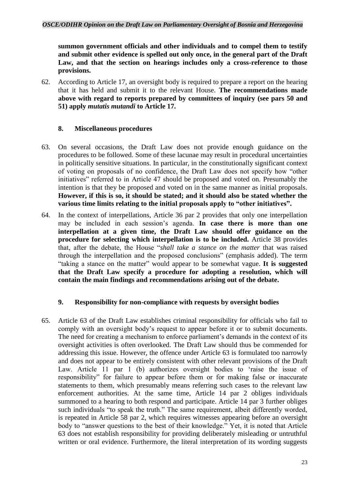**summon government officials and other individuals and to compel them to testify and submit other evidence is spelled out only once, in the general part of the Draft Law, and that the section on hearings includes only a cross-reference to those provisions.**

62. According to Article 17, an oversight body is required to prepare a report on the hearing that it has held and submit it to the relevant House. **The recommendations made above with regard to reports prepared by committees of inquiry (see pars 50 and 51) apply** *mutatis mutandi* **to Article 17.**

### <span id="page-22-0"></span>**8. Miscellaneous procedures**

- 63. On several occasions, the Draft Law does not provide enough guidance on the procedures to be followed. Some of these lacunae may result in procedural uncertainties in politically sensitive situations. In particular, in the constitutionally significant context of voting on proposals of no confidence, the Draft Law does not specify how "other initiatives" referred to in Article 47 should be proposed and voted on. Presumably the intention is that they be proposed and voted on in the same manner as initial proposals. **However, if this is so, it should be stated; and it should also be stated whether the various time limits relating to the initial proposals apply to "other initiatives".**
- 64. In the context of interpellations, Article 36 par 2 provides that only one interpellation may be included in each session's agenda. **In case there is more than one interpellation at a given time, the Draft Law should offer guidance on the procedure for selecting which interpellation is to be included.** Article 38 provides that, after the debate, the House "*shall take a stance on the matter* that was raised through the interpellation and the proposed conclusions" (emphasis added). The term "taking a stance on the matter" would appear to be somewhat vague. **It is suggested that the Draft Law specify a procedure for adopting a resolution, which will contain the main findings and recommendations arising out of the debate.**

### <span id="page-22-1"></span>**9. Responsibility for non-compliance with requests by oversight bodies**

65. Article 63 of the Draft Law establishes criminal responsibility for officials who fail to comply with an oversight body's request to appear before it or to submit documents. The need for creating a mechanism to enforce parliament's demands in the context of its oversight activities is often overlooked. The Draft Law should thus be commended for addressing this issue. However, the offence under Article 63 is formulated too narrowly and does not appear to be entirely consistent with other relevant provisions of the Draft Law. Article 11 par 1 (b) authorizes oversight bodies to 'raise the issue of responsibility" for failure to appear before them or for making false or inaccurate statements to them, which presumably means referring such cases to the relevant law enforcement authorities. At the same time, Article 14 par 2 obliges individuals summoned to a hearing to both respond and participate. Article 14 par 3 further obliges such individuals "to speak the truth." The same requirement, albeit differently worded, is repeated in Article 58 par 2, which requires witnesses appearing before an oversight body to "answer questions to the best of their knowledge." Yet, it is noted that Article 63 does not establish responsibility for providing deliberately misleading or untruthful written or oral evidence. Furthermore, the literal interpretation of its wording suggests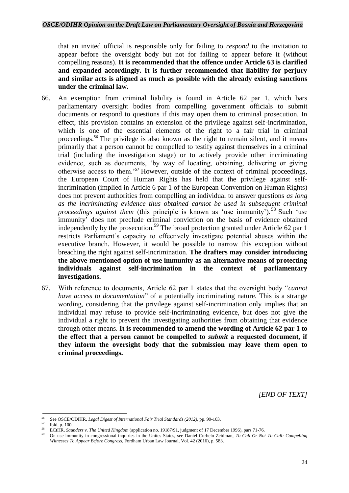that an invited official is responsible only for failing to *respond* to the invitation to appear before the oversight body but not for failing to appear before it (without compelling reasons). **It is recommended that the offence under Article 63 is clarified and expanded accordingly. It is further recommended that liability for perjury and similar acts is aligned as much as possible with the already existing sanctions under the criminal law.** 

- 66. An exemption from criminal liability is found in Article 62 par 1, which bars parliamentary oversight bodies from compelling government officials to submit documents or respond to questions if this may open them to criminal prosecution. In effect, this provision contains an extension of the privilege against self-incrimination, which is one of the essential elements of the right to a fair trial in criminal proceedings.<sup>56</sup> The privilege is also known as the right to remain silent, and it means primarily that a person cannot be compelled to testify against themselves in a criminal trial (including the investigation stage) or to actively provide other incriminating evidence, such as documents, 'by way of locating, obtaining, delivering or giving otherwise access to them.'<sup>57</sup> However, outside of the context of criminal proceedings, the European Court of Human Rights has held that the privilege against selfincrimination (implied in Article 6 par 1 of the European Convention on Human Rights) does not prevent authorities from compelling an individual to answer questions *as long as the incriminating evidence thus obtained cannot be used in subsequent criminal proceedings against them* (this principle is known as 'use immunity').<sup>58</sup> Such 'use immunity' does not preclude criminal conviction on the basis of evidence obtained independently by the prosecution. <sup>59</sup> The broad protection granted under Article 62 par 1 restricts Parliament's capacity to effectively investigate potential abuses within the executive branch. However, it would be possible to narrow this exception without breaching the right against self-incrimination. **The drafters may consider introducing the above-mentioned option of use immunity as an alternative means of protecting individuals against self-incrimination in the context of parliamentary investigations.**
- 67. With reference to documents, Article 62 par 1 states that the oversight body "*cannot have access to documentation*" of a potentially incriminating nature. This is a strange wording, considering that the privilege against self-incrimination only implies that an individual may refuse to provide self-incriminating evidence, but does not give the individual a right to prevent the investigating authorities from obtaining that evidence through other means. **It is recommended to amend the wording of Article 62 par 1 to the effect that a person cannot be compelled to** *submit* **a requested document, if they inform the oversight body that the submission may leave them open to criminal proceedings.**

*[END OF TEXT]*

<sup>56</sup> <sup>56</sup> See OSCE/ODIHR, *Legal Digest of International Fair Trial Standards (2012)*, pp. 99-103.

 $^{57}$  Ibid, p. 100.

<sup>58</sup> ECtHR, *Saunders v. The United Kingdom* (application no. 19187/91, judgment of 17 December 1996), pars 71-76.

<sup>59</sup> On use immunity in congressional inquiries in the Unites States, see Daniel Curbelo Zeidman, *To Call Or Not To Call: Compelling Witnesses To Appear Before Congress*, Fordham Urban Law Journal, Vol. 42 (2016), p. 583.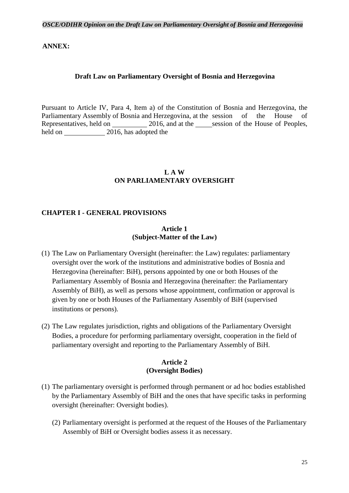### **ANNEX:**

### **Draft Law on Parliamentary Oversight of Bosnia and Herzegovina**

Pursuant to Article IV, Para 4, Item a) of the Constitution of Bosnia and Herzegovina, the Parliamentary Assembly of Bosnia and Herzegovina, at the session of the House of Representatives, held on 2016, and at the session of the House of Peoples, held on 2016, has adopted the

### **L A W ON PARLIAMENTARY OVERSIGHT**

#### **CHAPTER I - GENERAL PROVISIONS**

#### **Article 1 (Subject-Matter of the Law)**

- (1) The Law on Parliamentary Oversight (hereinafter: the Law) regulates: parliamentary oversight over the work of the institutions and administrative bodies of Bosnia and Herzegovina (hereinafter: BiH), persons appointed by one or both Houses of the Parliamentary Assembly of Bosnia and Herzegovina (hereinafter: the Parliamentary Assembly of BiH), as well as persons whose appointment, confirmation or approval is given by one or both Houses of the Parliamentary Assembly of BiH (supervised institutions or persons).
- (2) The Law regulates jurisdiction, rights and obligations of the Parliamentary Oversight Bodies, a procedure for performing parliamentary oversight, cooperation in the field of parliamentary oversight and reporting to the Parliamentary Assembly of BiH.

### **Article 2 (Oversight Bodies)**

- (1) The parliamentary oversight is performed through permanent or ad hoc bodies established by the Parliamentary Assembly of BiH and the ones that have specific tasks in performing oversight (hereinafter: Oversight bodies).
	- (2) Parliamentary oversight is performed at the request of the Houses of the Parliamentary Assembly of BiH or Oversight bodies assess it as necessary.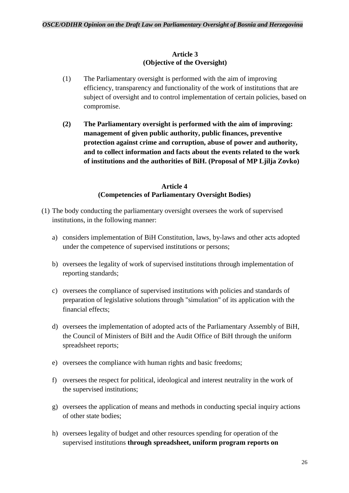### **Article 3 (Objective of the Oversight)**

- (1) The Parliamentary oversight is performed with the aim of improving efficiency, transparency and functionality of the work of institutions that are subject of oversight and to control implementation of certain policies, based on compromise.
- **(2) The Parliamentary oversight is performed with the aim of improving: management of given public authority, public finances, preventive protection against crime and corruption, abuse of power and authority, and to collect information and facts about the events related to the work of institutions and the authorities of BiH. (Proposal of MP Ljilja Zovko)**

### **Article 4 (Competencies of Parliamentary Oversight Bodies)**

- (1) The body conducting the parliamentary oversight oversees the work of supervised institutions, in the following manner:
	- a) considers implementation of BiH Constitution, laws, by-laws and other acts adopted under the competence of supervised institutions or persons;
	- b) oversees the legality of work of supervised institutions through implementation of reporting standards;
	- c) oversees the compliance of supervised institutions with policies and standards of preparation of legislative solutions through "simulation" of its application with the financial effects;
	- d) oversees the implementation of adopted acts of the Parliamentary Assembly of BiH, the Council of Ministers of BiH and the Audit Office of BiH through the uniform spreadsheet reports;
	- e) oversees the compliance with human rights and basic freedoms;
	- f) oversees the respect for political, ideological and interest neutrality in the work of the supervised institutions;
	- g) oversees the application of means and methods in conducting special inquiry actions of other state bodies;
	- h) oversees legality of budget and other resources spending for operation of the supervised institutions **through spreadsheet, uniform program reports on**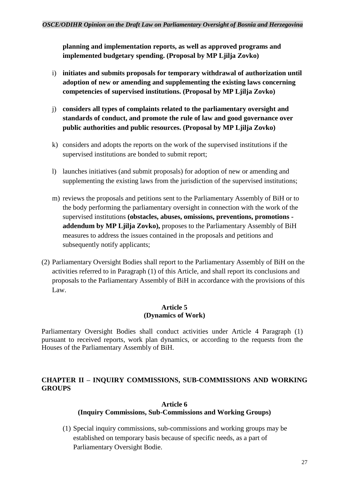**planning and implementation reports, as well as approved programs and implemented budgetary spending. (Proposal by MP Ljilja Zovko)**

- i) **initiates and submits proposals for temporary withdrawal of authorization until adoption of new or amending and supplementing the existing laws concerning competencies of supervised institutions. (Proposal by MP Ljilja Zovko)**
- j) **considers all types of complaints related to the parliamentary oversight and standards of conduct, and promote the rule of law and good governance over public authorities and public resources. (Proposal by MP Ljilja Zovko)**
- k) considers and adopts the reports on the work of the supervised institutions if the supervised institutions are bonded to submit report;
- l) launches initiatives (and submit proposals) for adoption of new or amending and supplementing the existing laws from the jurisdiction of the supervised institutions;
- m) reviews the proposals and petitions sent to the Parliamentary Assembly of BiH or to the body performing the parliamentary oversight in connection with the work of the supervised institutions **(obstacles, abuses, omissions, preventions, promotions addendum by MP Ljilja Zovko),** proposes to the Parliamentary Assembly of BiH measures to address the issues contained in the proposals and petitions and subsequently notify applicants;
- (2) Parliamentary Oversight Bodies shall report to the Parliamentary Assembly of BiH on the activities referred to in Paragraph (1) of this Article, and shall report its conclusions and proposals to the Parliamentary Assembly of BiH in accordance with the provisions of this Law.

### **Article 5 (Dynamics of Work)**

Parliamentary Oversight Bodies shall conduct activities under Article 4 Paragraph (1) pursuant to received reports, work plan dynamics, or according to the requests from the Houses of the Parliamentary Assembly of BiH.

### **CHAPTER II – INQUIRY COMMISSIONS, SUB-COMMISSIONS AND WORKING GROUPS**

### **Article 6 (Inquiry Commissions, Sub-Commissions and Working Groups)**

(1) Special inquiry commissions, sub-commissions and working groups may be established on temporary basis because of specific needs, as a part of Parliamentary Oversight Bodie.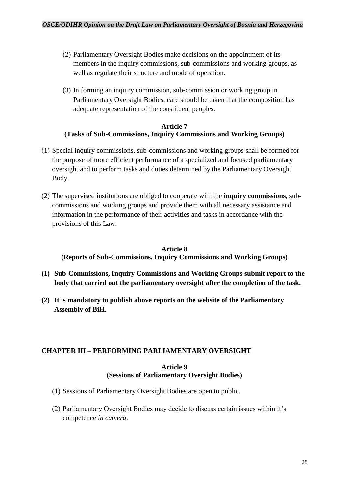- (2) Parliamentary Oversight Bodies make decisions on the appointment of its members in the inquiry commissions, sub-commissions and working groups, as well as regulate their structure and mode of operation.
- (3) In forming an inquiry commission, sub-commission or working group in Parliamentary Oversight Bodies, care should be taken that the composition has adequate representation of the constituent peoples.

### **Article 7 (Tasks of Sub-Commissions, Inquiry Commissions and Working Groups)**

- (1) Special inquiry commissions, sub-commissions and working groups shall be formed for the purpose of more efficient performance of a specialized and focused parliamentary oversight and to perform tasks and duties determined by the Parliamentary Oversight Body.
- (2) The supervised institutions are obliged to cooperate with the **inquiry commissions,** subcommissions and working groups and provide them with all necessary assistance and information in the performance of their activities and tasks in accordance with the provisions of this Law.

#### **Article 8**

**(Reports of Sub-Commissions, Inquiry Commissions and Working Groups)**

- **(1) Sub-Commissions, Inquiry Commissions and Working Groups submit report to the body that carried out the parliamentary oversight after the completion of the task.**
- **(2) It is mandatory to publish above reports on the website of the Parliamentary Assembly of BiH.**

### **CHAPTER III – PERFORMING PARLIAMENTARY OVERSIGHT**

#### **Article 9 (Sessions of Parliamentary Oversight Bodies)**

- (1) Sessions of Parliamentary Oversight Bodies are open to public.
- (2) Parliamentary Oversight Bodies may decide to discuss certain issues within it's competence *in camera*.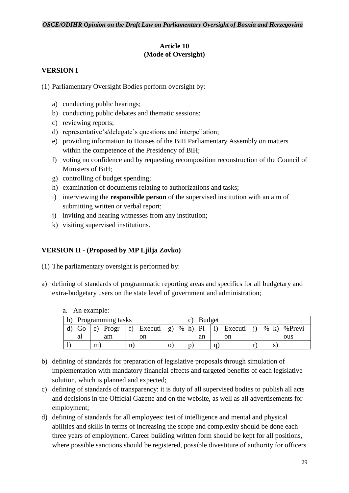### **Article 10 (Mode of Oversight)**

### **VERSION I**

- (1) Parliamentary Oversight Bodies perform oversight by:
	- a) conducting public hearings;
	- b) conducting public debates and thematic sessions;
	- c) reviewing reports;
	- d) representative's/delegate's questions and interpellation;
	- e) providing information to Houses of the BiH Parliamentary Assembly on matters within the competence of the Presidency of BiH;
	- f) voting no confidence and by requesting recomposition reconstruction of the Council of Ministers of BiH;
	- g) controlling of budget spending;
	- h) examination of documents relating to authorizations and tasks;
	- i) interviewing the **responsible person** of the supervised institution with an aim of submitting written or verbal report;
	- j) inviting and hearing witnesses from any institution;
	- k) visiting supervised institutions.

### **VERSION II - (Proposed by MP Ljilja Zovko)**

- (1) The parliamentary oversight is performed by:
- a) defining of standards of programmatic reporting areas and specifics for all budgetary and extra-budgetary users on the state level of government and administration;

| b) | Programming tasks |    |          |               |                     |  |  |      | <b>Budget</b>               |                   |         |            |               |               |
|----|-------------------|----|----------|---------------|---------------------|--|--|------|-----------------------------|-------------------|---------|------------|---------------|---------------|
|    | Go                |    | e) Progr | $  f \rangle$ | Executi $ g\rangle$ |  |  | % h) | $\overline{\phantom{a}}$ Pl | $\vert i \rangle$ | Executi | $\vert$ i) |               | $% k$ % Previ |
|    | aı                |    | am       |               | on                  |  |  |      | an                          |                   | on      |            |               | ous           |
|    |                   | m. |          | $\mathbf n$   |                     |  |  | p    |                             |                   |         |            | $\mathcal{D}$ |               |

- a. An example:
- b) defining of standards for preparation of legislative proposals through simulation of implementation with mandatory financial effects and targeted benefits of each legislative solution, which is planned and expected;
- c) defining of standards of transparency: it is duty of all supervised bodies to publish all acts and decisions in the Official Gazette and on the website, as well as all advertisements for employment;
- d) defining of standards for all employees: test of intelligence and mental and physical abilities and skills in terms of increasing the scope and complexity should be done each three years of employment. Career building written form should be kept for all positions, where possible sanctions should be registered, possible divestiture of authority for officers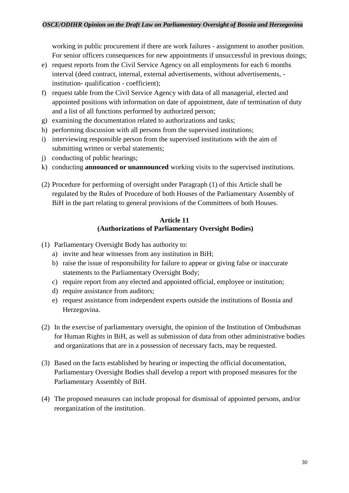working in public procurement if there are work failures - assignment to another position. For senior officers consequences for new appointments if unsuccessful in previous doings;

- e) request reports from the Civil Service Agency on all employments for each 6 months interval (deed contract, internal, external advertisements, without advertisements, institution- qualification - coefficient);
- f) request table from the Civil Service Agency with data of all managerial, elected and appointed positions with information on date of appointment, date of termination of duty and a list of all functions performed by authorized person;
- g) examining the documentation related to authorizations and tasks;
- h) performing discussion with all persons from the supervised institutions;
- i) interviewing responsible person from the supervised institutions with the aim of submitting written or verbal statements;
- j) conducting of public hearings;
- k) conducting **announced or unannounced** working visits to the supervised institutions.
- (2) Procedure for performing of oversight under Paragraph (1) of this Article shall be regulated by the Rules of Procedure of both Houses of the Parliamentary Assembly of BiH in the part relating to general provisions of the Committees of both Houses.

### **Article 11 (Authorizations of Parliamentary Oversight Bodies)**

- (1) Parliamentary Oversight Body has authority to:
	- a) invite and hear witnesses from any institution in BiH;
	- b) raise the issue of responsibility for failure to appear or giving false or inaccurate statements to the Parliamentary Oversight Body;
	- c) require report from any elected and appointed official, employee or institution;
	- d) require assistance from auditors;
	- e) request assistance from independent experts outside the institutions of Bosnia and Herzegovina.
- (2) In the exercise of parliamentary oversight, the opinion of the Institution of Ombudsman for Human Rights in BiH, as well as submission of data from other administrative bodies and organizations that are in a possession of necessary facts, may be requested.
- (3) Based on the facts established by hearing or inspecting the official documentation, Parliamentary Oversight Bodies shall develop a report with proposed measures for the Parliamentary Assembly of BiH.
- (4) The proposed measures can include proposal for dismissal of appointed persons, and/or reorganization of the institution.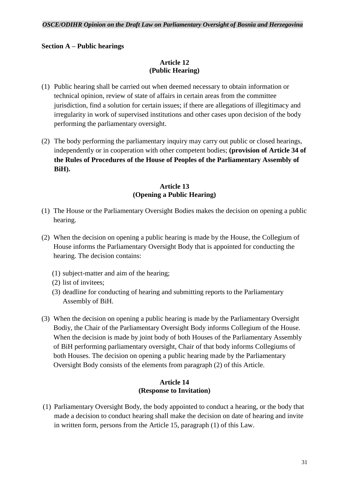### **Section A – Public hearings**

### **Article 12 (Public Hearing)**

- (1) Public hearing shall be carried out when deemed necessary to obtain information or technical opinion, review of state of affairs in certain areas from the committee jurisdiction, find a solution for certain issues; if there are allegations of illegitimacy and irregularity in work of supervised institutions and other cases upon decision of the body performing the parliamentary oversight.
- (2) The body performing the parliamentary inquiry may carry out public or closed hearings, independently or in cooperation with other competent bodies; **(provision of Article 34 of the Rules of Procedures of the House of Peoples of the Parliamentary Assembly of BiH).**

### **Article 13 (Opening a Public Hearing)**

- (1) The House or the Parliamentary Oversight Bodies makes the decision on opening a public hearing.
- (2) When the decision on opening a public hearing is made by the House, the Collegium of House informs the Parliamentary Oversight Body that is appointed for conducting the hearing. The decision contains:
	- (1) subject-matter and aim of the hearing;
	- (2) list of invitees;
	- (3) deadline for conducting of hearing and submitting reports to the Parliamentary Assembly of BiH.
- (3) When the decision on opening a public hearing is made by the Parliamentary Oversight Bodiy, the Chair of the Parliamentary Oversight Body informs Collegium of the House. When the decision is made by joint body of both Houses of the Parliamentary Assembly of BiH performing parliamentary oversight, Chair of that body informs Collegiums of both Houses. The decision on opening a public hearing made by the Parliamentary Oversight Body consists of the elements from paragraph (2) of this Article.

### **Article 14 (Response to Invitation)**

(1) Parliamentary Oversight Body, the body appointed to conduct a hearing, or the body that made a decision to conduct hearing shall make the decision on date of hearing and invite in written form, persons from the Article 15, paragraph (1) of this Law.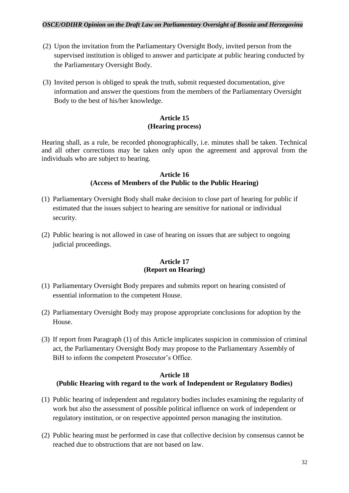### *OSCE/ODIHR Opinion on the Draft Law on Parliamentary Oversight of Bosnia and Herzegovina*

- (2) Upon the invitation from the Parliamentary Oversight Body, invited person from the supervised institution is obliged to answer and participate at public hearing conducted by the Parliamentary Oversight Body.
- (3) Invited person is obliged to speak the truth, submit requested documentation, give information and answer the questions from the members of the Parliamentary Oversight Body to the best of his/her knowledge.

### **Article 15 (Hearing process)**

Hearing shall, as a rule, be recorded phonographically, i.e. minutes shall be taken. Technical and all other corrections may be taken only upon the agreement and approval from the individuals who are subject to hearing.

### **Article 16 (Access of Members of the Public to the Public Hearing)**

- (1) Parliamentary Oversight Body shall make decision to close part of hearing for public if estimated that the issues subject to hearing are sensitive for national or individual security.
- (2) Public hearing is not allowed in case of hearing on issues that are subject to ongoing judicial proceedings.

### **Article 17 (Report on Hearing)**

- (1) Parliamentary Oversight Body prepares and submits report on hearing consisted of essential information to the competent House.
- (2) Parliamentary Oversight Body may propose appropriate conclusions for adoption by the House.
- (3) If report from Paragraph (1) of this Article implicates suspicion in commission of criminal act, the Parliamentary Oversight Body may propose to the Parliamentary Assembly of BiH to inform the competent Prosecutor's Office.

### **Article 18 (Public Hearing with regard to the work of Independent or Regulatory Bodies)**

- (1) Public hearing of independent and regulatory bodies includes examining the regularity of work but also the assessment of possible political influence on work of independent or regulatory institution, or on respective appointed person managing the institution.
- (2) Public hearing must be performed in case that collective decision by consensus cannot be reached due to obstructions that are not based on law.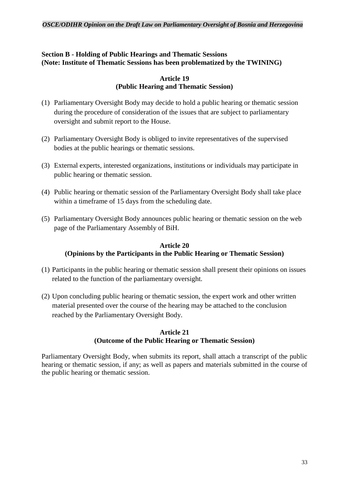### **Section B - Holding of Public Hearings and Thematic Sessions (Note: Institute of Thematic Sessions has been problematized by the TWINING)**

### **Article 19 (Public Hearing and Thematic Session)**

- (1) Parliamentary Oversight Body may decide to hold a public hearing or thematic session during the procedure of consideration of the issues that are subject to parliamentary oversight and submit report to the House.
- (2) Parliamentary Oversight Body is obliged to invite representatives of the supervised bodies at the public hearings or thematic sessions.
- (3) External experts, interested organizations, institutions or individuals may participate in public hearing or thematic session.
- (4) Public hearing or thematic session of the Parliamentary Oversight Body shall take place within a timeframe of 15 days from the scheduling date.
- (5) Parliamentary Oversight Body announces public hearing or thematic session on the web page of the Parliamentary Assembly of BiH.

### **Article 20 (Opinions by the Participants in the Public Hearing or Thematic Session)**

- (1) Participants in the public hearing or thematic session shall present their opinions on issues related to the function of the parliamentary oversight.
- (2) Upon concluding public hearing or thematic session, the expert work and other written material presented over the course of the hearing may be attached to the conclusion reached by the Parliamentary Oversight Body.

### **Article 21 (Outcome of the Public Hearing or Thematic Session)**

Parliamentary Oversight Body, when submits its report, shall attach a transcript of the public hearing or thematic session, if any; as well as papers and materials submitted in the course of the public hearing or thematic session.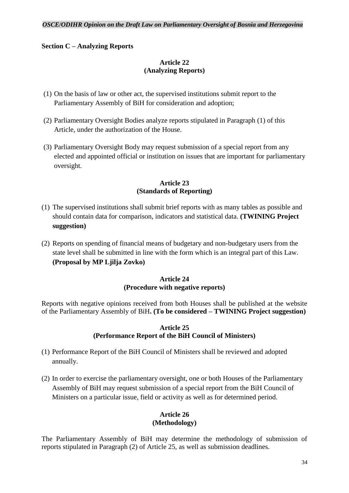### **Section C – Analyzing Reports**

### **Article 22 (Analyzing Reports)**

- (1) On the basis of law or other act, the supervised institutions submit report to the Parliamentary Assembly of BiH for consideration and adoption;
- (2) Parliamentary Oversight Bodies analyze reports stipulated in Paragraph (1) of this Article, under the authorization of the House.
- (3) Parliamentary Oversight Body may request submission of a special report from any elected and appointed official or institution on issues that are important for parliamentary oversight.

### **Article 23 (Standards of Reporting)**

- (1) The supervised institutions shall submit brief reports with as many tables as possible and should contain data for comparison, indicators and statistical data. **(TWINING Project suggestion)**
- (2) Reports on spending of financial means of budgetary and non-budgetary users from the state level shall be submitted in line with the form which is an integral part of this Law. **(Proposal by MP Ljilja Zovko)**

### **Article 24 (Procedure with negative reports)**

Reports with negative opinions received from both Houses shall be published at the website of the Parliamentary Assembly of BiH**. (To be considered – TWINING Project suggestion)**

### **Article 25 (Performance Report of the BiH Council of Ministers)**

- (1) Performance Report of the BiH Council of Ministers shall be reviewed and adopted annually.
- (2) In order to exercise the parliamentary oversight, one or both Houses of the Parliamentary Assembly of BiH may request submission of a special report from the BiH Council of Ministers on a particular issue, field or activity as well as for determined period.

### **Article 26 (Methodology)**

The Parliamentary Assembly of BiH may determine the methodology of submission of reports stipulated in Paragraph (2) of Article 25, as well as submission deadlines.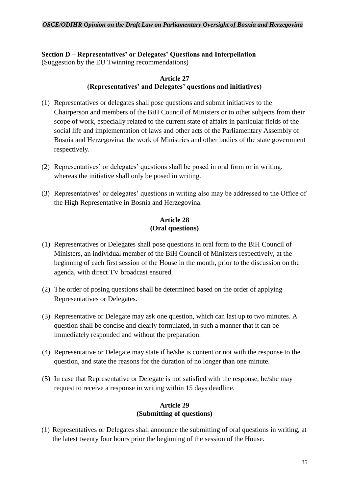### **Section D – Representatives' or Delegates' Questions and Interpellation** (Suggestion by the EU Twinning recommendations)

### **Article 27 (Representatives' and Delegates' questions and initiatives)**

- (1) Representatives or delegates shall pose questions and submit initiatives to the Chairperson and members of the BiH Council of Ministers or to other subjects from their scope of work, especially related to the current state of affairs in particular fields of the social life and implementation of laws and other acts of the Parliamentary Assembly of Bosnia and Herzegovina, the work of Ministries and other bodies of the state government respectively.
- (2) Representatives' or delegates' questions shall be posed in oral form or in writing, whereas the initiative shall only be posed in writing.
- (3) Representatives' or delegates' questions in writing also may be addressed to the Office of the High Representative in Bosnia and Herzegovina.

### **Article 28 (Oral questions)**

- (1) Representatives or Delegates shall pose questions in oral form to the BiH Council of Ministers, an individual member of the BiH Council of Ministers respectively, at the beginning of each first session of the House in the month, prior to the discussion on the agenda, with direct TV broadcast ensured.
- (2) The order of posing questions shall be determined based on the order of applying Representatives or Delegates.
- (3) Representative or Delegate may ask one question, which can last up to two minutes. A question shall be concise and clearly formulated, in such a manner that it can be immediately responded and without the preparation.
- (4) Representative or Delegate may state if he/she is content or not with the response to the question, and state the reasons for the duration of no longer than one minute.
- (5) In case that Representative or Delegate is not satisfied with the response, he/she may request to receive a response in writing within 15 days deadline.

### **Article 29 (Submitting of questions)**

(1) Representatives or Delegates shall announce the submitting of oral questions in writing, at the latest twenty four hours prior the beginning of the session of the House.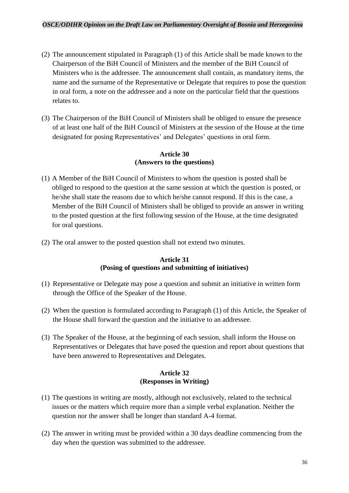- (2) The announcement stipulated in Paragraph (1) of this Article shall be made known to the Chairperson of the BiH Council of Ministers and the member of the BiH Council of Ministers who is the addressee. The announcement shall contain, as mandatory items, the name and the surname of the Representative or Delegate that requires to pose the question in oral form, a note on the addressee and a note on the particular field that the questions relates to.
- (3) The Chairperson of the BiH Council of Ministers shall be obliged to ensure the presence of at least one half of the BiH Council of Ministers at the session of the House at the time designated for posing Representatives' and Delegates' questions in oral form.

### **Article 30 (Answers to the questions)**

- (1) A Member of the BiH Council of Ministers to whom the question is posted shall be obliged to respond to the question at the same session at which the question is posted, or he/she shall state the reasons due to which he/she cannot respond. If this is the case, a Member of the BiH Council of Ministers shall be obliged to provide an answer in writing to the posted question at the first following session of the House, at the time designated for oral questions.
- (2) The oral answer to the posted question shall not extend two minutes.

### **Article 31 (Posing of questions and submitting of initiatives)**

- (1) Representative or Delegate may pose a question and submit an initiative in written form through the Office of the Speaker of the House.
- (2) When the question is formulated according to Paragraph (1) of this Article, the Speaker of the House shall forward the question and the initiative to an addressee.
- (3) The Speaker of the House, at the beginning of each session, shall inform the House on Representatives or Delegates that have posed the question and report about questions that have been answered to Representatives and Delegates.

### **Article 32 (Responses in Writing)**

- (1) The questions in writing are mostly, although not exclusively, related to the technical issues or the matters which require more than a simple verbal explanation. Neither the question nor the answer shall be longer than standard A-4 format.
- (2) The answer in writing must be provided within a 30 days deadline commencing from the day when the question was submitted to the addressee.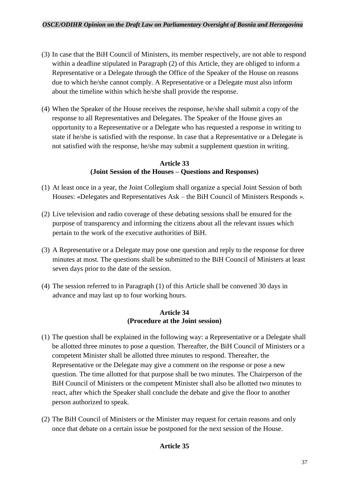- (3) In case that the BiH Council of Ministers, its member respectively, are not able to respond within a deadline stipulated in Paragraph (2) of this Article, they are obliged to inform a Representative or a Delegate through the Office of the Speaker of the House on reasons due to which he/she cannot comply. A Representative or a Delegate must also inform about the timeline within which he/she shall provide the response.
- (4) When the Speaker of the House receives the response, he/she shall submit a copy of the response to all Representatives and Delegates. The Speaker of the House gives an opportunity to a Representative or a Delegate who has requested a response in writing to state if he/she is satisfied with the response. In case that a Representative or a Delegate is not satisfied with the response, he/she may submit a supplement question in writing.

### **Article 33 (Joint Session of the Houses – Questions and Responses)**

- (1) At least once in a year, the Joint Collegium shall organize a special Joint Session of both Houses: «Delegates and Representatives Ask – the BiH Council of Ministers Responds ».
- (2) Live television and radio coverage of these debating sessions shall be ensured for the purpose of transparency and informing the citizens about all the relevant issues which pertain to the work of the executive authorities of BiH.
- (3) A Representative or a Delegate may pose one question and reply to the response for three minutes at most. The questions shall be submitted to the BiH Council of Ministers at least seven days prior to the date of the session.
- (4) The session referred to in Paragraph (1) of this Article shall be convened 30 days in advance and may last up to four working hours.

### **Article 34 (Procedure at the Joint session)**

- (1) The question shall be explained in the following way: a Representative or a Delegate shall be allotted three minutes to pose a question. Thereafter, the BiH Council of Ministers or a competent Minister shall be allotted three minutes to respond. Thereafter, the Representative or the Delegate may give a comment on the response or pose a new question. The time allotted for that purpose shall be two minutes. The Chairperson of the BiH Council of Ministers or the competent Minister shall also be allotted two minutes to react, after which the Speaker shall conclude the debate and give the floor to another person authorized to speak.
- (2) The BiH Council of Ministers or the Minister may request for certain reasons and only once that debate on a certain issue be postponed for the next session of the House.

### **Article 35**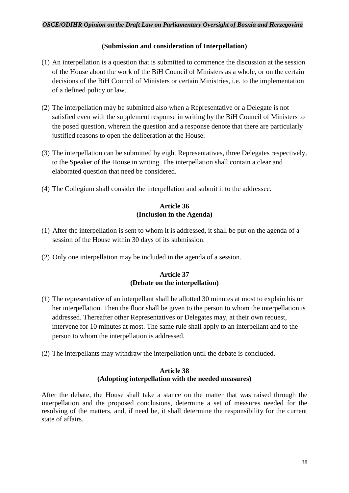### **(Submission and consideration of Interpellation)**

- (1) An interpellation is a question that is submitted to commence the discussion at the session of the House about the work of the BiH Council of Ministers as a whole, or on the certain decisions of the BiH Council of Ministers or certain Ministries, i.e. to the implementation of a defined policy or law.
- (2) The interpellation may be submitted also when a Representative or a Delegate is not satisfied even with the supplement response in writing by the BiH Council of Ministers to the posed question, wherein the question and a response denote that there are particularly justified reasons to open the deliberation at the House.
- (3) The interpellation can be submitted by eight Representatives, three Delegates respectively, to the Speaker of the House in writing. The interpellation shall contain a clear and elaborated question that need be considered.
- (4) The Collegium shall consider the interpellation and submit it to the addressee.

### **Article 36 (Inclusion in the Agenda)**

- (1) After the interpellation is sent to whom it is addressed, it shall be put on the agenda of a session of the House within 30 days of its submission.
- (2) Only one interpellation may be included in the agenda of a session.

### **Article 37 (Debate on the interpellation)**

- (1) The representative of an interpellant shall be allotted 30 minutes at most to explain his or her interpellation. Then the floor shall be given to the person to whom the interpellation is addressed. Thereafter other Representatives or Delegates may, at their own request, intervene for 10 minutes at most. The same rule shall apply to an interpellant and to the person to whom the interpellation is addressed.
- (2) The interpellants may withdraw the interpellation until the debate is concluded.

### **Article 38 (Adopting interpellation with the needed measures)**

After the debate, the House shall take a stance on the matter that was raised through the interpellation and the proposed conclusions, determine a set of measures needed for the resolving of the matters, and, if need be, it shall determine the responsibility for the current state of affairs.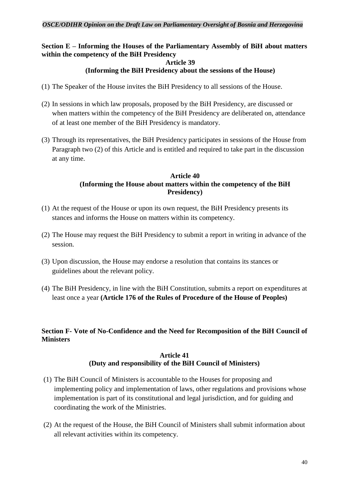### **Section E – Informing the Houses of the Parliamentary Assembly of BiH about matters within the competency of the BiH Presidency**

#### **Article 39 (Informing the BiH Presidency about the sessions of the House)**

- (1) The Speaker of the House invites the BiH Presidency to all sessions of the House.
- (2) In sessions in which law proposals, proposed by the BiH Presidency, are discussed or when matters within the competency of the BiH Presidency are deliberated on, attendance of at least one member of the BiH Presidency is mandatory.
- (3) Through its representatives, the BiH Presidency participates in sessions of the House from Paragraph two (2) of this Article and is entitled and required to take part in the discussion at any time.

### **Article 40 (Informing the House about matters within the competency of the BiH Presidency)**

- (1) At the request of the House or upon its own request, the BiH Presidency presents its stances and informs the House on matters within its competency.
- (2) The House may request the BiH Presidency to submit a report in writing in advance of the session.
- (3) Upon discussion, the House may endorse a resolution that contains its stances or guidelines about the relevant policy.
- (4) The BiH Presidency, in line with the BiH Constitution, submits a report on expenditures at least once a year **(Article 176 of the Rules of Procedure of the House of Peoples)**

### **Section F- Vote of No-Confidence and the Need for Recomposition of the BiH Council of Ministers**

### **Article 41 (Duty and responsibility of the BiH Council of Ministers)**

- (1) The BiH Council of Ministers is accountable to the Houses for proposing and implementing policy and implementation of laws, other regulations and provisions whose implementation is part of its constitutional and legal jurisdiction, and for guiding and coordinating the work of the Ministries.
- (2) At the request of the House, the BiH Council of Ministers shall submit information about all relevant activities within its competency.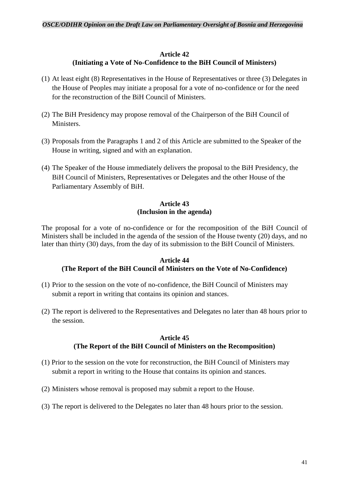### **Article 42 (Initiating a Vote of No-Confidence to the BiH Council of Ministers)**

- (1) At least eight (8) Representatives in the House of Representatives or three (3) Delegates in the House of Peoples may initiate a proposal for a vote of no-confidence or for the need for the reconstruction of the BiH Council of Ministers.
- (2) The BiH Presidency may propose removal of the Chairperson of the BiH Council of Ministers.
- (3) Proposals from the Paragraphs 1 and 2 of this Article are submitted to the Speaker of the House in writing, signed and with an explanation.
- (4) The Speaker of the House immediately delivers the proposal to the BiH Presidency, the BiH Council of Ministers, Representatives or Delegates and the other House of the Parliamentary Assembly of BiH.

### **Article 43 (Inclusion in the agenda)**

The proposal for a vote of no-confidence or for the recomposition of the BiH Council of Ministers shall be included in the agenda of the session of the House twenty (20) days, and no later than thirty (30) days, from the day of its submission to the BiH Council of Ministers.

### **Article 44 (The Report of the BiH Council of Ministers on the Vote of No-Confidence)**

- (1) Prior to the session on the vote of no-confidence, the BiH Council of Ministers may submit a report in writing that contains its opinion and stances.
- (2) The report is delivered to the Representatives and Delegates no later than 48 hours prior to the session.

### **Article 45 (The Report of the BiH Council of Ministers on the Recomposition)**

- (1) Prior to the session on the vote for reconstruction, the BiH Council of Ministers may submit a report in writing to the House that contains its opinion and stances.
- (2) Ministers whose removal is proposed may submit a report to the House.
- (3) The report is delivered to the Delegates no later than 48 hours prior to the session.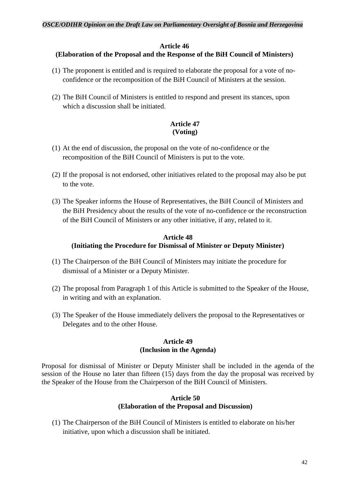### **Article 46**

### **(Elaboration of the Proposal and the Response of the BiH Council of Ministers)**

- (1) The proponent is entitled and is required to elaborate the proposal for a vote of noconfidence or the recomposition of the BiH Council of Ministers at the session.
- (2) The BiH Council of Ministers is entitled to respond and present its stances, upon which a discussion shall be initiated.

### **Article 47 (Voting)**

- (1) At the end of discussion, the proposal on the vote of no-confidence or the recomposition of the BiH Council of Ministers is put to the vote.
- (2) If the proposal is not endorsed, other initiatives related to the proposal may also be put to the vote.
- (3) The Speaker informs the House of Representatives, the BiH Council of Ministers and the BiH Presidency about the results of the vote of no-confidence or the reconstruction of the BiH Council of Ministers or any other initiative, if any, related to it.

### **Article 48 (Initiating the Procedure for Dismissal of Minister or Deputy Minister)**

- (1) The Chairperson of the BiH Council of Ministers may initiate the procedure for dismissal of a Minister or a Deputy Minister.
- (2) The proposal from Paragraph 1 of this Article is submitted to the Speaker of the House, in writing and with an explanation.
- (3) The Speaker of the House immediately delivers the proposal to the Representatives or Delegates and to the other House.

### **Article 49 (Inclusion in the Agenda)**

Proposal for dismissal of Minister or Deputy Minister shall be included in the agenda of the session of the House no later than fifteen (15) days from the day the proposal was received by the Speaker of the House from the Chairperson of the BiH Council of Ministers.

### **Article 50 (Elaboration of the Proposal and Discussion)**

(1) The Chairperson of the BiH Council of Ministers is entitled to elaborate on his/her initiative, upon which a discussion shall be initiated.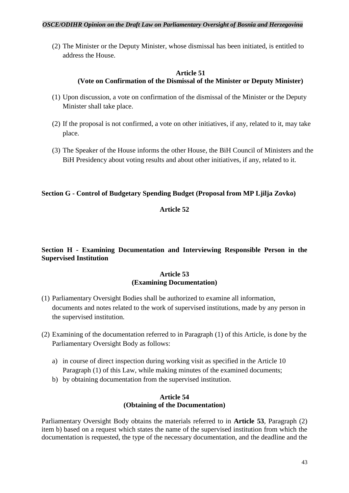(2) The Minister or the Deputy Minister, whose dismissal has been initiated, is entitled to address the House.

### **Article 51 (Vote on Confirmation of the Dismissal of the Minister or Deputy Minister)**

- (1) Upon discussion, a vote on confirmation of the dismissal of the Minister or the Deputy Minister shall take place.
- (2) If the proposal is not confirmed, a vote on other initiatives, if any, related to it, may take place.
- (3) The Speaker of the House informs the other House, the BiH Council of Ministers and the BiH Presidency about voting results and about other initiatives, if any, related to it.

### **Section G - Control of Budgetary Spending Budget (Proposal from MP Ljilja Zovko)**

### **Article 52**

### **Section H - Examining Documentation and Interviewing Responsible Person in the Supervised Institution**

### **Article 53 (Examining Documentation)**

- (1) Parliamentary Oversight Bodies shall be authorized to examine all information, documents and notes related to the work of supervised institutions, made by any person in the supervised institution.
- (2) Examining of the documentation referred to in Paragraph (1) of this Article, is done by the Parliamentary Oversight Body as follows:
	- a) in course of direct inspection during working visit as specified in the Article 10 Paragraph (1) of this Law, while making minutes of the examined documents;
	- b) by obtaining documentation from the supervised institution.

### **Article 54 (Obtaining of the Documentation)**

Parliamentary Oversight Body obtains the materials referred to in **Article 53**, Paragraph (2) item b) based on a request which states the name of the supervised institution from which the documentation is requested, the type of the necessary documentation, and the deadline and the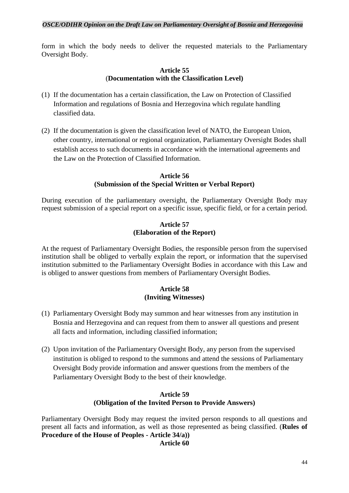form in which the body needs to deliver the requested materials to the Parliamentary Oversight Body.

### **Article 55** (**Documentation with the Classification Level)**

- (1) If the documentation has a certain classification, the Law on Protection of Classified Information and regulations of Bosnia and Herzegovina which regulate handling classified data.
- (2) If the documentation is given the classification level of NATO, the European Union, other country, international or regional organization, Parliamentary Oversight Bodes shall establish access to such documents in accordance with the international agreements and the Law on the Protection of Classified Information.

### **Article 56 (Submission of the Special Written or Verbal Report)**

During execution of the parliamentary oversight, the Parliamentary Oversight Body may request submission of a special report on a specific issue, specific field, or for a certain period.

### **Article 57 (Elaboration of the Report)**

At the request of Parliamentary Oversight Bodies, the responsible person from the supervised institution shall be obliged to verbally explain the report, or information that the supervised institution submitted to the Parliamentary Oversight Bodies in accordance with this Law and is obliged to answer questions from members of Parliamentary Oversight Bodies.

### **Article 58 (Inviting Witnesses)**

- (1) Parliamentary Oversight Body may summon and hear witnesses from any institution in Bosnia and Herzegovina and can request from them to answer all questions and present all facts and information, including classified information;
- (2) Upon invitation of the Parliamentary Oversight Body, any person from the supervised institution is obliged to respond to the summons and attend the sessions of Parliamentary Oversight Body provide information and answer questions from the members of the Parliamentary Oversight Body to the best of their knowledge.

### **Article 59 (Obligation of the Invited Person to Provide Answers)**

Parliamentary Oversight Body may request the invited person responds to all questions and present all facts and information, as well as those represented as being classified. (**Rules of Procedure of the House of Peoples - Article 34/a)) Article 60**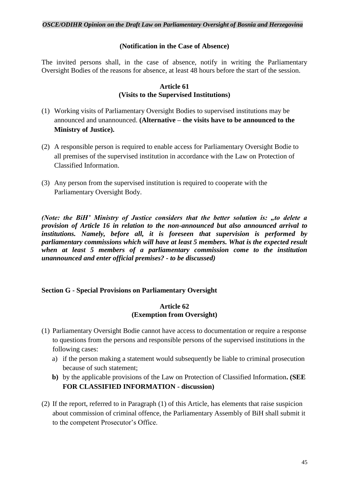### **(Notification in the Case of Absence)**

The invited persons shall, in the case of absence, notify in writing the Parliamentary Oversight Bodies of the reasons for absence, at least 48 hours before the start of the session.

### **Article 61 (Visits to the Supervised Institutions)**

- (1) Working visits of Parliamentary Oversight Bodies to supervised institutions may be announced and unannounced. **(Alternative – the visits have to be announced to the Ministry of Justice).**
- (2) A responsible person is required to enable access for Parliamentary Oversight Bodie to all premises of the supervised institution in accordance with the Law on Protection of Classified Information.
- (3) Any person from the supervised institution is required to cooperate with the Parliamentary Oversight Body.

*(Note: the BiH' Ministry of Justice considers that the better solution is: "to delete a provision of Article 16 in relation to the non-announced but also announced arrival to institutions. Namely, before all, it is foreseen that supervision is performed by parliamentary commissions which will have at least 5 members. What is the expected result when at least 5 members of a parliamentary commission come to the institution unannounced and enter official premises? - to be discussed)*

### **Section G - Special Provisions on Parliamentary Oversight**

### **Article 62 (Exemption from Oversight)**

- (1) Parliamentary Oversight Bodie cannot have access to documentation or require a response to questions from the persons and responsible persons of the supervised institutions in the following cases:
	- a) if the person making a statement would subsequently be liable to criminal prosecution because of such statement;
	- **b)** by the applicable provisions of the Law on Protection of Classified Information**. (SEE FOR CLASSIFIED INFORMATION - discussion)**
- (2) If the report, referred to in Paragraph (1) of this Article, has elements that raise suspicion about commission of criminal offence, the Parliamentary Assembly of BiH shall submit it to the competent Prosecutor's Office.